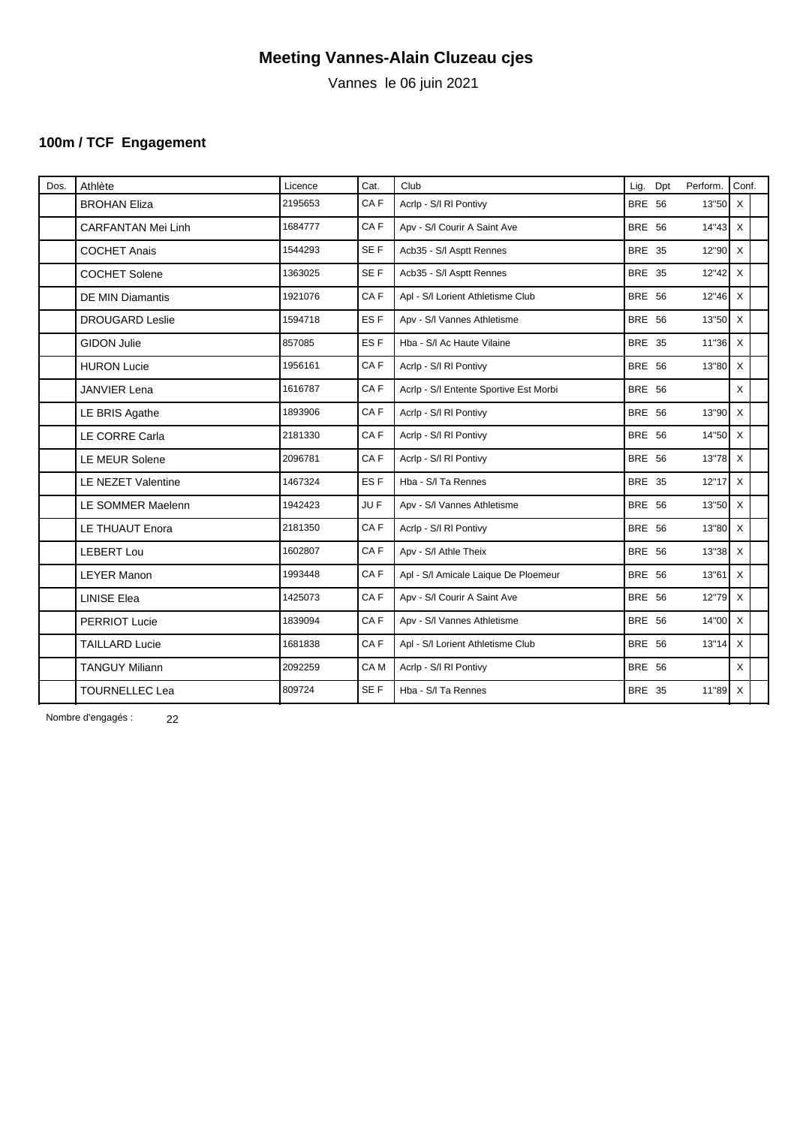Vannes le 06 juin 2021

# **100m / TCF Engagement**

| Dos. | Athlète                   | Licence | Cat.            | Club                                   | Lig.          | Dpt | Perform.       | Conf.        |  |
|------|---------------------------|---------|-----------------|----------------------------------------|---------------|-----|----------------|--------------|--|
|      | <b>BROHAN Eliza</b>       | 2195653 | CAF             | Acrip - S/I RI Pontivy                 | <b>BRE 56</b> |     | $13"50$ X      |              |  |
|      | <b>CARFANTAN Mei Linh</b> | 1684777 | CAF             | Apv - S/I Courir A Saint Ave           | <b>BRE 56</b> |     | $14"43 \times$ |              |  |
|      | <b>COCHET Anais</b>       | 1544293 | SE F            | Acb35 - S/I Asptt Rennes               | <b>BRE 35</b> |     | $12"90$ X      |              |  |
|      | <b>COCHET Solene</b>      | 1363025 | SE F            | Acb35 - S/I Asptt Rennes               | <b>BRE 35</b> |     | $12"42$ X      |              |  |
|      | DE MIN Diamantis          | 1921076 | CA <sub>F</sub> | Apl - S/I Lorient Athletisme Club      | <b>BRE 56</b> |     | $12"46$ X      |              |  |
|      | <b>DROUGARD Leslie</b>    | 1594718 | ES <sub>F</sub> | Apv - S/I Vannes Athletisme            | <b>BRE 56</b> |     | $13"50$ X      |              |  |
|      | <b>GIDON Julie</b>        | 857085  | ES <sub>F</sub> | Hba - S/I Ac Haute Vilaine             | <b>BRE 35</b> |     | $11"36$ X      |              |  |
|      | <b>HURON Lucie</b>        | 1956161 | CAF             | Acrip - S/I RI Pontivy                 | <b>BRE 56</b> |     | $13"80$ X      |              |  |
|      | <b>JANVIER Lena</b>       | 1616787 | CAF             | Acrip - S/I Entente Sportive Est Morbi | <b>BRE 56</b> |     |                | $\mathsf{X}$ |  |
|      | LE BRIS Agathe            | 1893906 | CA <sub>F</sub> | Acrip - S/I RI Pontivy                 | <b>BRE 56</b> |     | 13"90 X        |              |  |
|      | LE CORRE Carla            | 2181330 | CAF             | Acrip - S/I RI Pontivy                 | <b>BRE 56</b> |     | 14"50 X        |              |  |
|      | LE MEUR Solene            | 2096781 | CAF             | Acrip - S/I RI Pontivy                 | <b>BRE 56</b> |     | $13"78$ X      |              |  |
|      | LE NEZET Valentine        | 1467324 | ES <sub>F</sub> | Hba - S/I Ta Rennes                    | <b>BRE 35</b> |     | $12"17$ X      |              |  |
|      | LE SOMMER Maelenn         | 1942423 | JU F            | Apv - S/I Vannes Athletisme            | <b>BRE 56</b> |     | $13"50$ X      |              |  |
|      | LE THUAUT Enora           | 2181350 | CAF             | Acrip - S/I RI Pontivy                 | <b>BRE 56</b> |     | 13"80 X        |              |  |
|      | <b>LEBERT Lou</b>         | 1602807 | CAF             | Apv - S/I Athle Theix                  | <b>BRE 56</b> |     | $13"38$ X      |              |  |
|      | <b>LEYER Manon</b>        | 1993448 | CAF             | Apl - S/I Amicale Laique De Ploemeur   | <b>BRE 56</b> |     | $13"61$ X      |              |  |
|      | <b>LINISE Elea</b>        | 1425073 | CAF             | Apv - S/I Courir A Saint Ave           | <b>BRE 56</b> |     | $12"79$ X      |              |  |
|      | PERRIOT Lucie             | 1839094 | CAF             | Apv - S/I Vannes Athletisme            | <b>BRE 56</b> |     | $14"00$ X      |              |  |
|      | <b>TAILLARD Lucie</b>     | 1681838 | CA <sub>F</sub> | Apl - S/I Lorient Athletisme Club      | <b>BRE 56</b> |     | $13"14$ X      |              |  |
|      | <b>TANGUY Miliann</b>     | 2092259 | CA M            | Acrip - S/I RI Pontivy                 | <b>BRE 56</b> |     |                | $\times$     |  |
|      | <b>TOURNELLEC Lea</b>     | 809724  | SE F            | Hba - S/I Ta Rennes                    | BRE 35        |     | $11"89$ X      |              |  |
|      |                           |         |                 |                                        |               |     |                |              |  |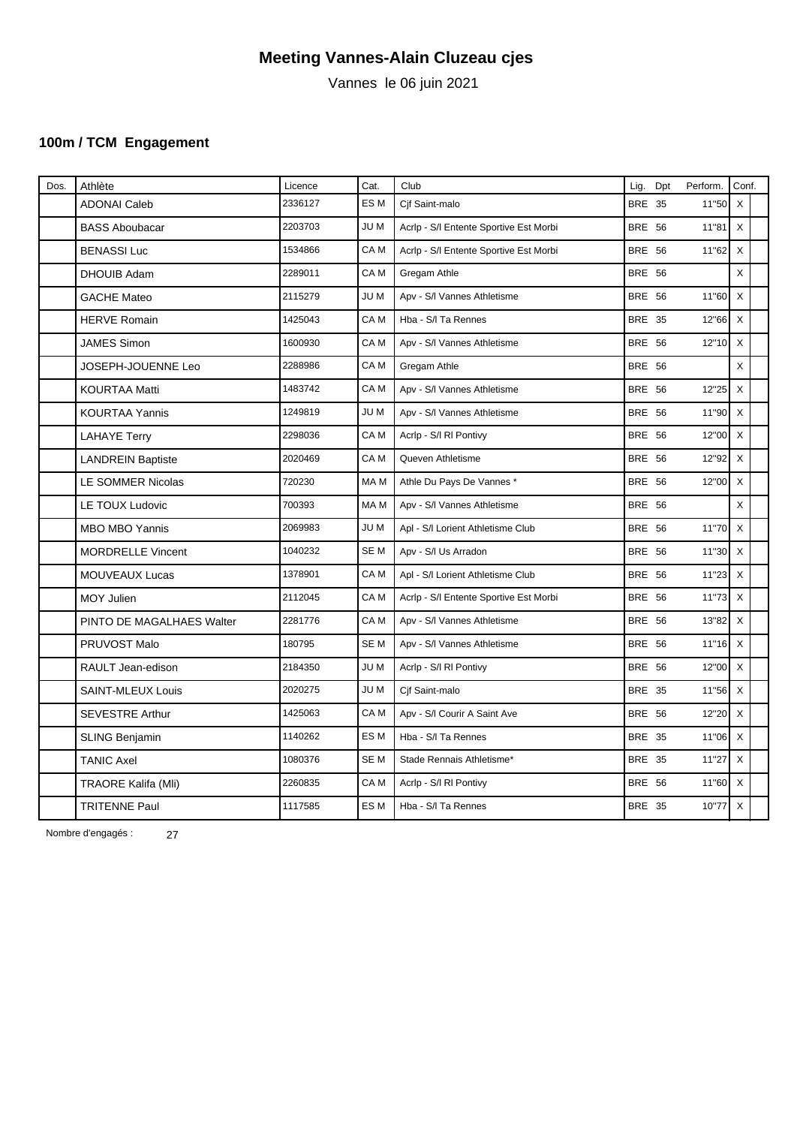Vannes le 06 juin 2021

### **100m / TCM Engagement**

| Dos. | Athlète                    | Licence | Cat.            | Club                                   | Lig.          | Dpt | Perform.  | Conf.                     |  |
|------|----------------------------|---------|-----------------|----------------------------------------|---------------|-----|-----------|---------------------------|--|
|      | <b>ADONAI Caleb</b>        | 2336127 | ES <sub>M</sub> | Cif Saint-malo                         | <b>BRE 35</b> |     | 11"50 X   |                           |  |
|      | <b>BASS Aboubacar</b>      | 2203703 | JU M            | Acrip - S/I Entente Sportive Est Morbi | <b>BRE 56</b> |     | 11"81     | $\mathsf{X}$              |  |
|      | <b>BENASSI Luc</b>         | 1534866 | CA <sub>M</sub> | Acrip - S/I Entente Sportive Est Morbi | <b>BRE 56</b> |     | 11"62     | $\boldsymbol{\mathsf{X}}$ |  |
|      | <b>DHOUIB Adam</b>         | 2289011 | CA M            | Gregam Athle                           | <b>BRE 56</b> |     |           | $\mathsf{X}$              |  |
|      | <b>GACHE Mateo</b>         | 2115279 | JU M            | Apv - S/I Vannes Athletisme            | <b>BRE 56</b> |     | $11"60$ X |                           |  |
|      | <b>HERVE Romain</b>        | 1425043 | CA M            | Hba - S/I Ta Rennes                    | <b>BRE 35</b> |     | 12"66 X   |                           |  |
|      | <b>JAMES Simon</b>         | 1600930 | CA M            | Apv - S/I Vannes Athletisme            | <b>BRE 56</b> |     | 12"10 X   |                           |  |
|      | JOSEPH-JOUENNE Leo         | 2288986 | CA M            | Gregam Athle                           | <b>BRE 56</b> |     |           | X                         |  |
|      | <b>KOURTAA Matti</b>       | 1483742 | CA M            | Apv - S/I Vannes Athletisme            | <b>BRE 56</b> |     | 12"25 X   |                           |  |
|      | <b>KOURTAA Yannis</b>      | 1249819 | JU M            | Apv - S/I Vannes Athletisme            | <b>BRE 56</b> |     | 11"90 X   |                           |  |
|      | <b>LAHAYE Terry</b>        | 2298036 | CA M            | Acrip - S/I RI Pontivy                 | <b>BRE 56</b> |     | 12"00 X   |                           |  |
|      | <b>LANDREIN Baptiste</b>   | 2020469 | CA M            | Queven Athletisme                      | <b>BRE 56</b> |     | 12"92 X   |                           |  |
|      | LE SOMMER Nicolas          | 720230  | MA M            | Athle Du Pays De Vannes*               | <b>BRE 56</b> |     | 12"00 X   |                           |  |
|      | LE TOUX Ludovic            | 700393  | MA M            | Apv - S/I Vannes Athletisme            | <b>BRE 56</b> |     |           | $\times$                  |  |
|      | <b>MBO MBO Yannis</b>      | 2069983 | JU M            | Apl - S/I Lorient Athletisme Club      | <b>BRE 56</b> |     | $11"70$ X |                           |  |
|      | <b>MORDRELLE Vincent</b>   | 1040232 | SE M            | Apv - S/I Us Arradon                   | <b>BRE 56</b> |     | $11"30$ X |                           |  |
|      | <b>MOUVEAUX Lucas</b>      | 1378901 | CA M            | Apl - S/I Lorient Athletisme Club      | <b>BRE 56</b> |     | $11"23$ X |                           |  |
|      | <b>MOY Julien</b>          | 2112045 | CA M            | Acrip - S/I Entente Sportive Est Morbi | <b>BRE 56</b> |     | 11"73 X   |                           |  |
|      | PINTO DE MAGALHAES Walter  | 2281776 | CA M            | Apv - S/I Vannes Athletisme            | <b>BRE 56</b> |     | 13"82 X   |                           |  |
|      | PRUVOST Malo               | 180795  | SE M            | Apv - S/I Vannes Athletisme            | <b>BRE 56</b> |     | $11"16$ X |                           |  |
|      | RAULT Jean-edison          | 2184350 | JU M            | Acrip - S/I RI Pontivy                 | <b>BRE 56</b> |     | 12"00 X   |                           |  |
|      | <b>SAINT-MLEUX Louis</b>   | 2020275 | JU M            | Cif Saint-malo                         | <b>BRE 35</b> |     | $11"56$ X |                           |  |
|      | <b>SEVESTRE Arthur</b>     | 1425063 | CA M            | Apv - S/I Courir A Saint Ave           | <b>BRE 56</b> |     | 12"20 X   |                           |  |
|      | <b>SLING Benjamin</b>      | 1140262 | ES M            | Hba - S/I Ta Rennes                    | <b>BRE 35</b> |     | 11"06 X   |                           |  |
|      | <b>TANIC Axel</b>          | 1080376 | SE M            | Stade Rennais Athletisme*              | <b>BRE 35</b> |     | $11"27$ X |                           |  |
|      | <b>TRAORE Kalifa (Mli)</b> | 2260835 | CA M            | Acrip - S/I RI Pontivy                 | <b>BRE 56</b> |     | 11"60 X   |                           |  |
|      | <b>TRITENNE Paul</b>       | 1117585 | ES M            | Hba - S/I Ta Rennes                    | <b>BRE 35</b> |     | 10"77     | $\mathsf{X}$              |  |
|      |                            |         |                 |                                        |               |     |           |                           |  |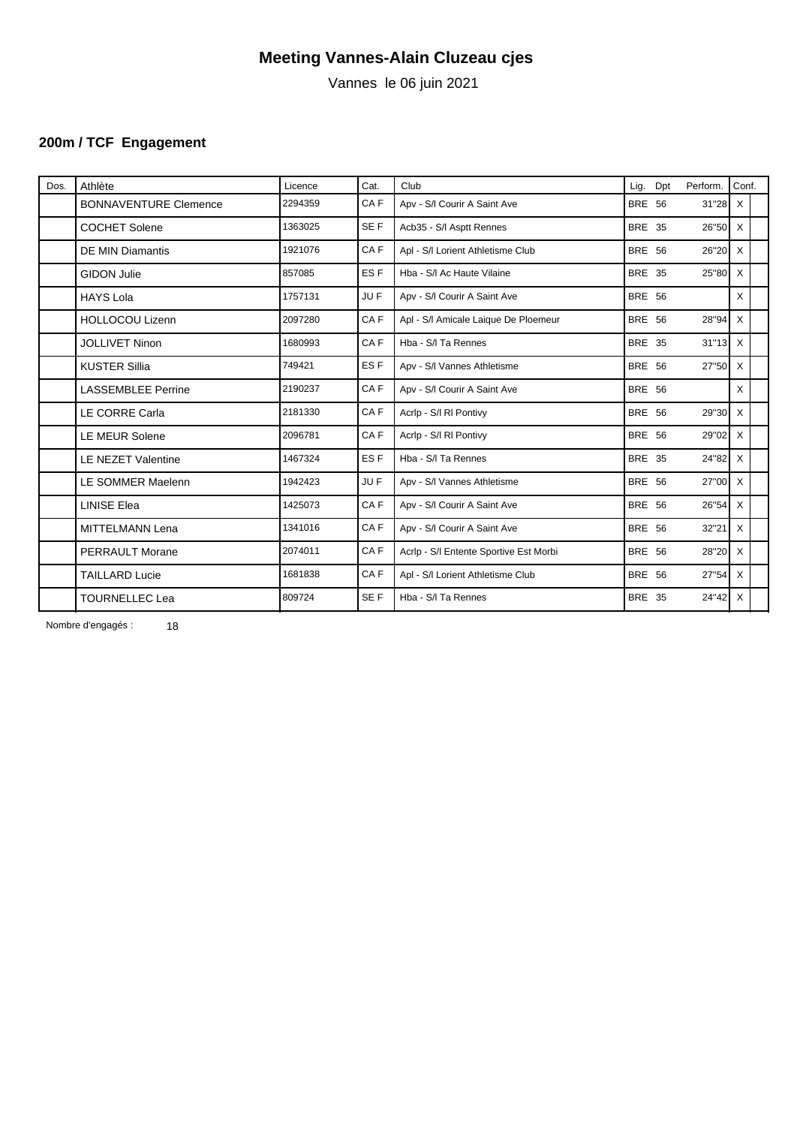Vannes le 06 juin 2021

# **200m / TCF Engagement**

| Dos. | Athlète                      | Licence | Cat.            | Club                                   | Lig.          | Dpt | Perform.         | Conf.    |  |
|------|------------------------------|---------|-----------------|----------------------------------------|---------------|-----|------------------|----------|--|
|      | <b>BONNAVENTURE Clemence</b> | 2294359 | CA <sub>F</sub> | Apv - S/I Courir A Saint Ave           | <b>BRE 56</b> |     | $31"28$ X        |          |  |
|      | <b>COCHET Solene</b>         | 1363025 | SE F            | Acb35 - S/I Asptt Rennes               | BRE 35        |     | $26"50$ X        |          |  |
|      | <b>DE MIN Diamantis</b>      | 1921076 | CA <sub>F</sub> | Apl - S/I Lorient Athletisme Club      | <b>BRE 56</b> |     | $26"20$ X        |          |  |
|      | <b>GIDON Julie</b>           | 857085  | ES <sub>F</sub> | Hba - S/I Ac Haute Vilaine             | <b>BRE 35</b> |     | $25"80$ X        |          |  |
|      | <b>HAYS Lola</b>             | 1757131 | JU F            | Apv - S/I Courir A Saint Ave           | <b>BRE 56</b> |     |                  | $\times$ |  |
|      | <b>HOLLOCOU Lizenn</b>       | 2097280 | CA <sub>F</sub> | Apl - S/I Amicale Laique De Ploemeur   | <b>BRE 56</b> |     | 28"94            | $\times$ |  |
|      | <b>JOLLIVET Ninon</b>        | 1680993 | CA <sub>F</sub> | Hba - S/I Ta Rennes                    | <b>BRE 35</b> |     | $31"13$ X        |          |  |
|      | <b>KUSTER Sillia</b>         | 749421  | ES <sub>F</sub> | Apv - S/I Vannes Athletisme            | <b>BRE 56</b> |     | $27"50$ X        |          |  |
|      | <b>LASSEMBLEE Perrine</b>    | 2190237 | CA F            | Apv - S/I Courir A Saint Ave           | <b>BRE 56</b> |     |                  | X        |  |
|      | <b>LE CORRE Carla</b>        | 2181330 | CAF             | Acrip - S/I RI Pontivy                 | <b>BRE 56</b> |     | 29"30 X          |          |  |
|      | LE MEUR Solene               | 2096781 | CAF             | Acrip - S/I RI Pontivy                 | <b>BRE 56</b> |     | $29"02$ X        |          |  |
|      | <b>LE NEZET Valentine</b>    | 1467324 | ES <sub>F</sub> | Hba - S/I Ta Rennes                    | <b>BRE 35</b> |     | $24"82$ X        |          |  |
|      | LE SOMMER Maelenn            | 1942423 | JU F            | Apv - S/I Vannes Athletisme            | <b>BRE 56</b> |     | 27"00 X          |          |  |
|      | <b>LINISE Elea</b>           | 1425073 | CAF             | Apv - S/I Courir A Saint Ave           | <b>BRE 56</b> |     | $26^{\circ}54$ X |          |  |
|      | <b>MITTELMANN Lena</b>       | 1341016 | CAF             | Apv - S/I Courir A Saint Ave           | <b>BRE 56</b> |     | 32"21            | $\times$ |  |
|      | <b>PERRAULT Morane</b>       | 2074011 | CA F            | Acrip - S/I Entente Sportive Est Morbi | <b>BRE 56</b> |     | $28"20$ X        |          |  |
|      | <b>TAILLARD Lucie</b>        | 1681838 | CAF             | Apl - S/I Lorient Athletisme Club      | <b>BRE 56</b> |     | $27"54$ X        |          |  |
|      | <b>TOURNELLEC Lea</b>        | 809724  | SE F            | Hba - S/I Ta Rennes                    | <b>BRE 35</b> |     | $24"42$ X        |          |  |
|      |                              |         |                 |                                        |               |     |                  |          |  |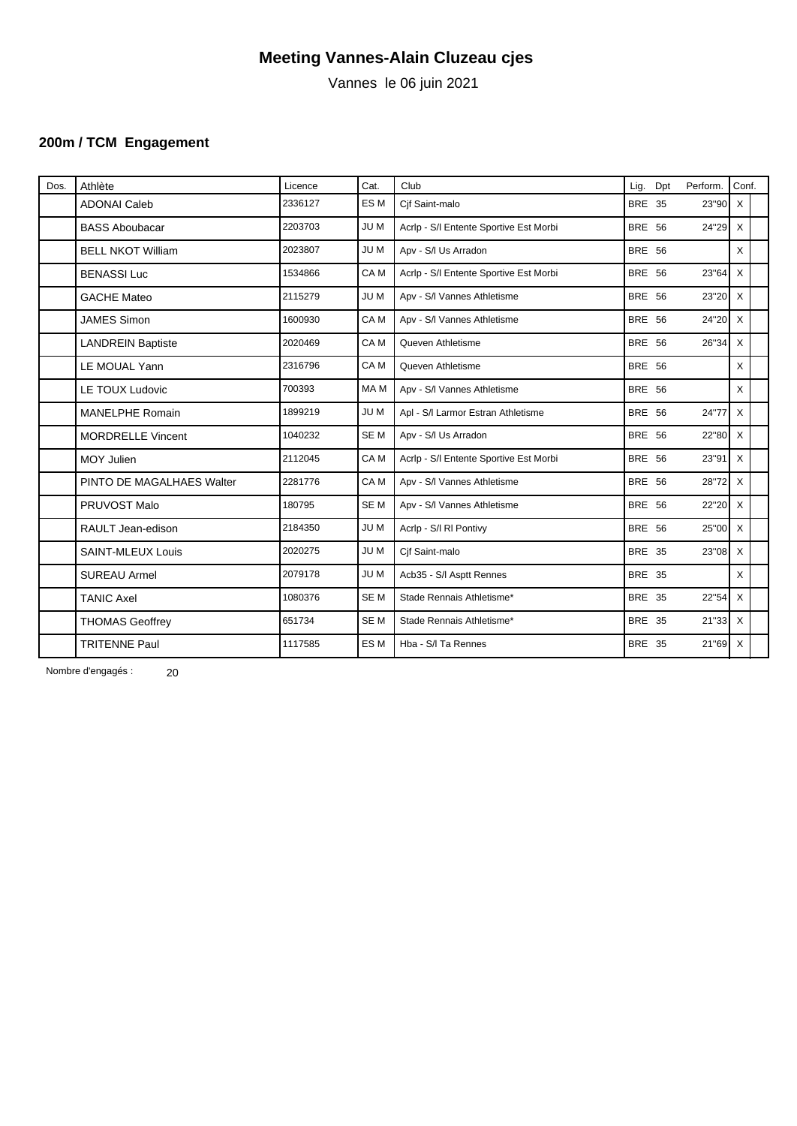Vannes le 06 juin 2021

### **200m / TCM Engagement**

| Dos. | Athlète                   | Licence | Cat.            | Club                                   | Lig.          | Dpt | Perform.  | Conf.    |  |
|------|---------------------------|---------|-----------------|----------------------------------------|---------------|-----|-----------|----------|--|
|      | <b>ADONAI Caleb</b>       | 2336127 | ES M            | Cif Saint-malo                         | <b>BRE 35</b> |     | 23"90     | $\times$ |  |
|      | <b>BASS Aboubacar</b>     | 2203703 | JU M            | Acrlp - S/I Entente Sportive Est Morbi | <b>BRE 56</b> |     | $24"29$ X |          |  |
|      | <b>BELL NKOT William</b>  | 2023807 | JU M            | Apv - S/I Us Arradon                   | <b>BRE 56</b> |     |           | X        |  |
|      | <b>BENASSI Luc</b>        | 1534866 | CA <sub>M</sub> | Acrlp - S/I Entente Sportive Est Morbi | <b>BRE 56</b> |     | 23"64     | $\times$ |  |
|      | <b>GACHE Mateo</b>        | 2115279 | JU M            | Apv - S/I Vannes Athletisme            | <b>BRE 56</b> |     | 23"20 X   |          |  |
|      | <b>JAMES Simon</b>        | 1600930 | CA M            | Apv - S/I Vannes Athletisme            | <b>BRE 56</b> |     | 24"20 X   |          |  |
|      | <b>LANDREIN Baptiste</b>  | 2020469 | CA <sub>M</sub> | Queven Athletisme                      | <b>BRE 56</b> |     | 26"34     | $\times$ |  |
|      | LE MOUAL Yann             | 2316796 | CA M            | Queven Athletisme                      | <b>BRE 56</b> |     |           | X        |  |
|      | <b>LE TOUX Ludovic</b>    | 700393  | MA M            | Apv - S/I Vannes Athletisme            | <b>BRE 56</b> |     |           | X        |  |
|      | <b>MANELPHE Romain</b>    | 1899219 | JU M            | Apl - S/I Larmor Estran Athletisme     | <b>BRE 56</b> |     | 24"77     | $\times$ |  |
|      | <b>MORDRELLE Vincent</b>  | 1040232 | SE <sub>M</sub> | Apv - S/I Us Arradon                   | <b>BRE 56</b> |     | $22"80$ X |          |  |
|      | MOY Julien                | 2112045 | CA M            | Acrlp - S/I Entente Sportive Est Morbi | <b>BRE 56</b> |     | $23"91$ X |          |  |
|      | PINTO DE MAGALHAES Walter | 2281776 | CA M            | Apv - S/I Vannes Athletisme            | <b>BRE 56</b> |     | 28"72     | $\times$ |  |
|      | PRUVOST Malo              | 180795  | SE <sub>M</sub> | Apv - S/I Vannes Athletisme            | <b>BRE 56</b> |     | $22"20$ X |          |  |
|      | RAULT Jean-edison         | 2184350 | JU M            | Acrip - S/I RI Pontivy                 | <b>BRE 56</b> |     | $25"00$ X |          |  |
|      | <b>SAINT-MLEUX Louis</b>  | 2020275 | JU M            | Cif Saint-malo                         | <b>BRE 35</b> |     | $23"08$ X |          |  |
|      | <b>SUREAU Armel</b>       | 2079178 | JU M            | Acb35 - S/I Asptt Rennes               | <b>BRE 35</b> |     |           | X        |  |
|      | <b>TANIC Axel</b>         | 1080376 | SE <sub>M</sub> | Stade Rennais Athletisme*              | <b>BRE 35</b> |     | 22"54     | $\times$ |  |
|      | <b>THOMAS Geoffrey</b>    | 651734  | SE <sub>M</sub> | Stade Rennais Athletisme*              | <b>BRE 35</b> |     | $21"33$ X |          |  |
|      | <b>TRITENNE Paul</b>      | 1117585 | ES <sub>M</sub> | Hba - S/I Ta Rennes                    | <b>BRE 35</b> |     | $21"69$ X |          |  |
|      |                           |         |                 |                                        |               |     |           |          |  |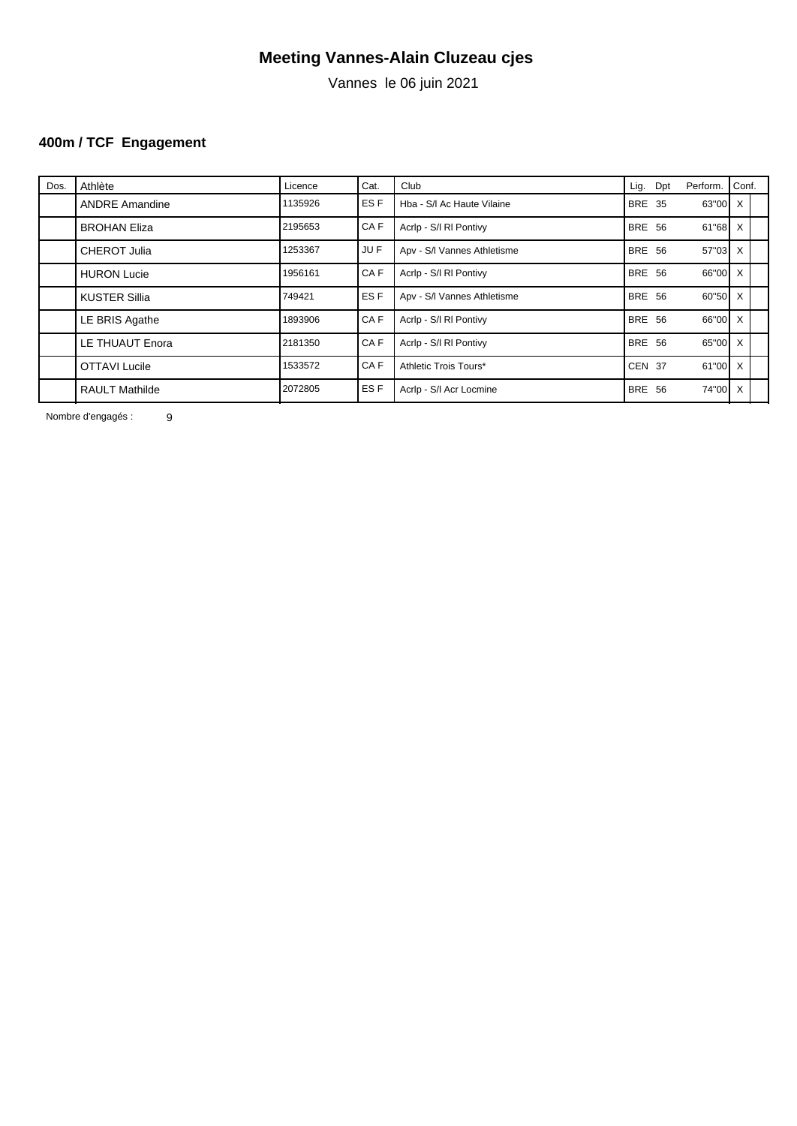Vannes le 06 juin 2021

# **400m / TCF Engagement**

| Dos. | Athlète               | Licence | Cat. | Club                        |               | Lig. Dpt | Perform.  | Conf. |  |
|------|-----------------------|---------|------|-----------------------------|---------------|----------|-----------|-------|--|
|      | <b>ANDRE Amandine</b> | 1135926 | ES F | Hba - S/I Ac Haute Vilaine  | <b>BRE 35</b> |          | 63"00 X   |       |  |
|      | <b>BROHAN Eliza</b>   | 2195653 | CA F | Acrip - S/I RI Pontivy      | <b>BRE 56</b> |          | 61"68 X   |       |  |
|      | <b>CHEROT Julia</b>   | 1253367 | JU F | Apv - S/I Vannes Athletisme | <b>BRE 56</b> |          | $57"03$ X |       |  |
|      | <b>HURON Lucie</b>    | 1956161 | CA F | Acrip - S/I RI Pontivy      | <b>BRE 56</b> |          | 66"00 X   |       |  |
|      | <b>KUSTER Sillia</b>  | 749421  | ES F | Apv - S/I Vannes Athletisme | <b>BRE 56</b> |          | 60"50 X   |       |  |
|      | LE BRIS Agathe        | 1893906 | CA F | Acrip - S/I RI Pontivy      | <b>BRE 56</b> |          | 66"00 X   |       |  |
|      | LE THUAUT Enora       | 2181350 | CA F | Acrip - S/I RI Pontivy      | BRE 56        |          | 65"00 X   |       |  |
|      | <b>OTTAVI Lucile</b>  | 1533572 | CA F | Athletic Trois Tours*       | <b>CEN 37</b> |          | $61"00$ X |       |  |
|      | <b>RAULT Mathilde</b> | 2072805 | ES F | Acrip - S/I Acr Locmine     | BRE 56        |          | 74"00 X   |       |  |
|      |                       |         |      |                             |               |          |           |       |  |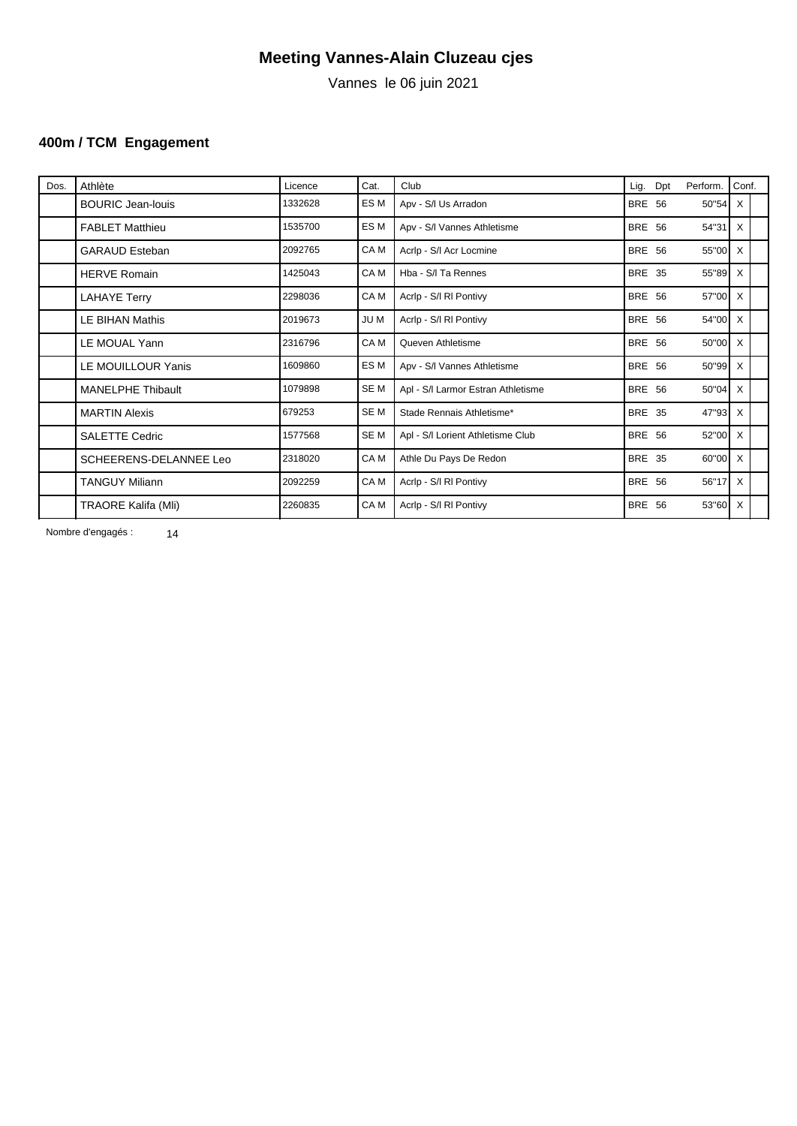Vannes le 06 juin 2021

### **400m / TCM Engagement**

| Dos. | Athlète                    | Licence | Cat.            | Club                               | Lig.          | Dpt | Perform.  | Conf. |  |
|------|----------------------------|---------|-----------------|------------------------------------|---------------|-----|-----------|-------|--|
|      | <b>BOURIC Jean-louis</b>   | 1332628 | ES M            | Apv - S/I Us Arradon               | <b>BRE 56</b> |     | 50"54 X   |       |  |
|      | <b>FABLET Matthieu</b>     | 1535700 | ES M            | Apv - S/I Vannes Athletisme        | <b>BRE 56</b> |     | $54"31$ X |       |  |
|      | <b>GARAUD Esteban</b>      | 2092765 | CA M            | Acrlp - S/I Acr Locmine            | <b>BRE 56</b> |     | 55"00 X   |       |  |
|      | <b>HERVE Romain</b>        | 1425043 | CA <sub>M</sub> | Hba - S/I Ta Rennes                | <b>BRE 35</b> |     | 55"89 X   |       |  |
|      | <b>LAHAYE Terry</b>        | 2298036 | CA M            | Acrip - S/I RI Pontivy             | <b>BRE 56</b> |     | 57"00 X   |       |  |
|      | LE BIHAN Mathis            | 2019673 | JU M            | Acrip - S/I RI Pontivy             | <b>BRE 56</b> |     | 54"00 X   |       |  |
|      | LE MOUAL Yann              | 2316796 | CA M            | Queven Athletisme                  | <b>BRE 56</b> |     | 50"00 X   |       |  |
|      | LE MOUILLOUR Yanis         | 1609860 | ES M            | Apv - S/I Vannes Athletisme        | <b>BRE 56</b> |     | 50"99 X   |       |  |
|      | <b>MANELPHE Thibault</b>   | 1079898 | SE <sub>M</sub> | Apl - S/I Larmor Estran Athletisme | <b>BRE 56</b> |     | $50"04$ X |       |  |
|      | <b>MARTIN Alexis</b>       | 679253  | <b>SEM</b>      | Stade Rennais Athletisme*          | <b>BRE 35</b> |     | 47"93 X   |       |  |
|      | <b>SALETTE Cedric</b>      | 1577568 | SE M            | Apl - S/I Lorient Athletisme Club  | <b>BRE 56</b> |     | 52"00 X   |       |  |
|      | SCHEERENS-DELANNEE Leo     | 2318020 | CA M            | Athle Du Pays De Redon             | <b>BRE 35</b> |     | 60"00 X   |       |  |
|      | <b>TANGUY Miliann</b>      | 2092259 | CA M            | Acrip - S/I RI Pontivy             | <b>BRE 56</b> |     | 56"17 X   |       |  |
|      | <b>TRAORE Kalifa (Mli)</b> | 2260835 | CA M            | Acrip - S/I RI Pontivy             | <b>BRE 56</b> |     | $53"60$ X |       |  |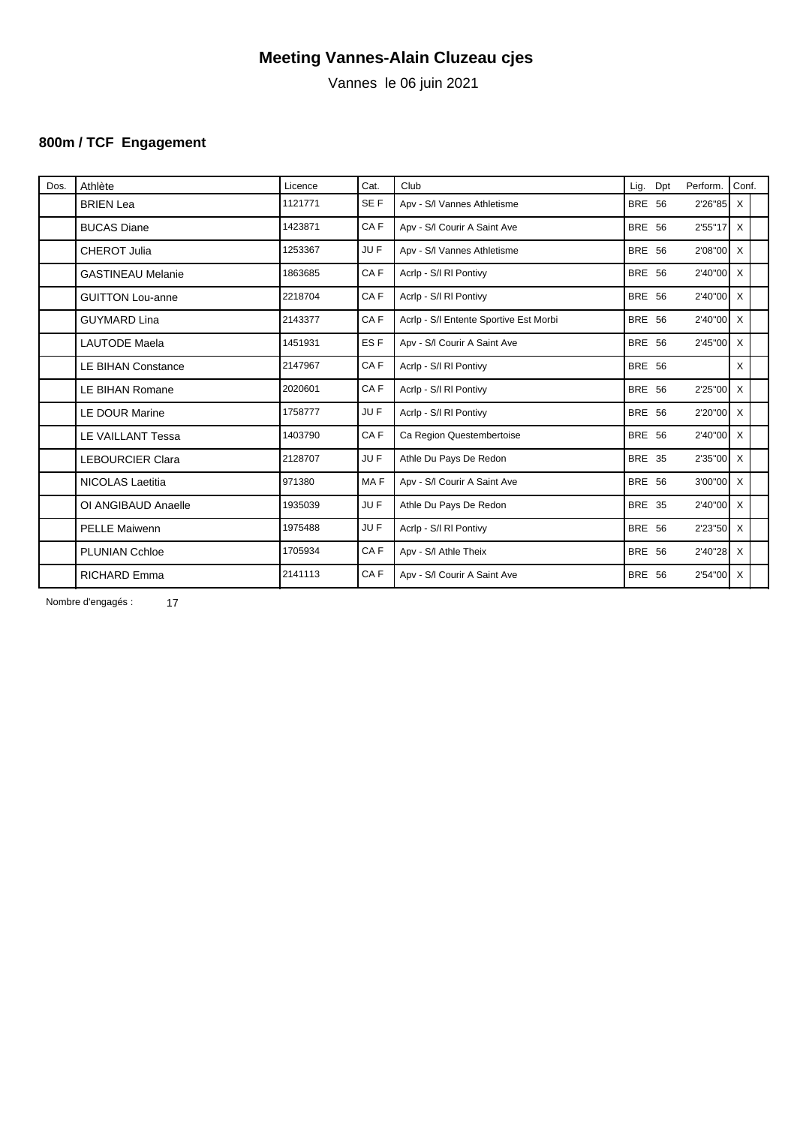Vannes le 06 juin 2021

# **800m / TCF Engagement**

| Dos. | Athlète                   | Licence | Cat.            | Club                                   | Lig.          | Dpt | Perform.     | Conf. |  |
|------|---------------------------|---------|-----------------|----------------------------------------|---------------|-----|--------------|-------|--|
|      | <b>BRIEN Lea</b>          | 1121771 | SE F            | Apv - S/I Vannes Athletisme            | <b>BRE 56</b> |     | 2'26"85 X    |       |  |
|      | <b>BUCAS Diane</b>        | 1423871 | CA F            | Apv - S/I Courir A Saint Ave           | <b>BRE 56</b> |     | $2'55''17$ X |       |  |
|      | <b>CHEROT Julia</b>       | 1253367 | JU F            | Apv - S/I Vannes Athletisme            | <b>BRE 56</b> |     | $2'08''00$ X |       |  |
|      | <b>GASTINEAU Melanie</b>  | 1863685 | CA <sub>F</sub> | Acrip - S/I RI Pontivy                 | <b>BRE 56</b> |     | 2'40"00 X    |       |  |
|      | <b>GUITTON Lou-anne</b>   | 2218704 | CA <sub>F</sub> | Acrip - S/I RI Pontivy                 | <b>BRE 56</b> |     | 2'40"00 X    |       |  |
|      | <b>GUYMARD Lina</b>       | 2143377 | CAF             | Acrlp - S/I Entente Sportive Est Morbi | <b>BRE 56</b> |     | 2'40"00 X    |       |  |
|      | <b>LAUTODE Maela</b>      | 1451931 | ES <sub>F</sub> | Apv - S/I Courir A Saint Ave           | <b>BRE 56</b> |     | 2'45"00 X    |       |  |
|      | <b>LE BIHAN Constance</b> | 2147967 | CAF             | Acrip - S/I RI Pontivy                 | <b>BRE 56</b> |     |              | X     |  |
|      | LE BIHAN Romane           | 2020601 | CA F            | Acrip - S/I RI Pontivy                 | <b>BRE 56</b> |     | 2'25"00 X    |       |  |
|      | <b>LE DOUR Marine</b>     | 1758777 | JU F            | Acrip - S/I RI Pontivy                 | <b>BRE 56</b> |     | 2'20"00 X    |       |  |
|      | LE VAILLANT Tessa         | 1403790 | CAF             | Ca Region Questembertoise              | <b>BRE 56</b> |     | 2'40"00 X    |       |  |
|      | <b>LEBOURCIER Clara</b>   | 2128707 | JU F            | Athle Du Pays De Redon                 | <b>BRE 35</b> |     | 2'35"00 X    |       |  |
|      | <b>NICOLAS Laetitia</b>   | 971380  | MA <sub>F</sub> | Apv - S/I Courir A Saint Ave           | <b>BRE 56</b> |     | 3'00"00 X    |       |  |
|      | OI ANGIBAUD Anaelle       | 1935039 | JU F            | Athle Du Pays De Redon                 | <b>BRE 35</b> |     | 2'40"00 X    |       |  |
|      | <b>PELLE Maiwenn</b>      | 1975488 | JU F            | Acrip - S/I RI Pontivy                 | <b>BRE 56</b> |     | $2'23''50$ X |       |  |
|      | <b>PLUNIAN Cchloe</b>     | 1705934 | CAF             | Apv - S/I Athle Theix                  | <b>BRE 56</b> |     | 2'40"28 X    |       |  |
|      | <b>RICHARD Emma</b>       | 2141113 | CA F            | Apv - S/I Courir A Saint Ave           | <b>BRE 56</b> |     | 2'54"00 X    |       |  |
|      |                           |         |                 |                                        |               |     |              |       |  |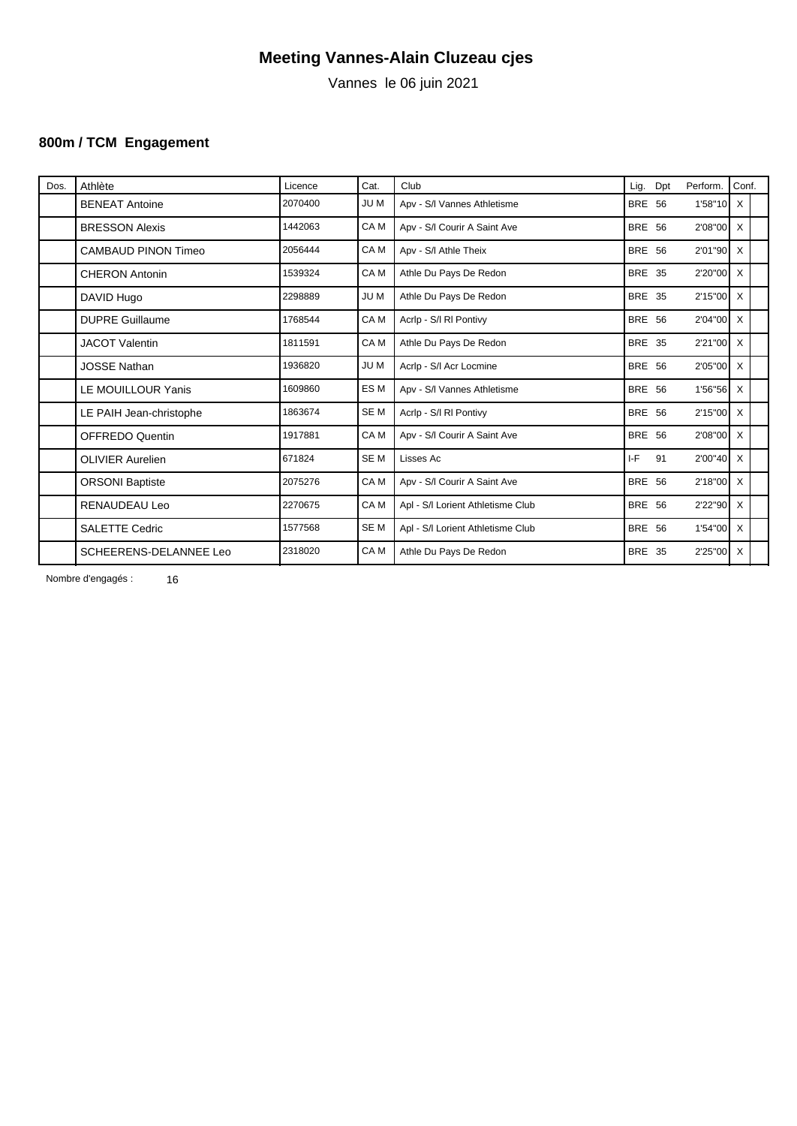Vannes le 06 juin 2021

### **800m / TCM Engagement**

| Dos. | Athlète                    | Licence | Cat.            | Club                              | Lig.          | Dpt | Perform.     | Conf. |  |
|------|----------------------------|---------|-----------------|-----------------------------------|---------------|-----|--------------|-------|--|
|      | <b>BENEAT Antoine</b>      | 2070400 | <b>JUM</b>      | Apv - S/I Vannes Athletisme       | <b>BRE 56</b> |     | $1'58''10$ X |       |  |
|      | <b>BRESSON Alexis</b>      | 1442063 | CA <sub>M</sub> | Apv - S/I Courir A Saint Ave      | <b>BRE 56</b> |     | $2'08''00$ X |       |  |
|      | <b>CAMBAUD PINON Timeo</b> | 2056444 | CA <sub>M</sub> | Apv - S/I Athle Theix             | <b>BRE 56</b> |     | $2'01''90$ X |       |  |
|      | <b>CHERON Antonin</b>      | 1539324 | CA <sub>M</sub> | Athle Du Pays De Redon            | <b>BRE 35</b> |     | 2'20"00 X    |       |  |
|      | DAVID Hugo                 | 2298889 | <b>JUM</b>      | Athle Du Pays De Redon            | <b>BRE 35</b> |     | 2'15"00 X    |       |  |
|      | <b>DUPRE Guillaume</b>     | 1768544 | CA <sub>M</sub> | Acrip - S/I RI Pontivy            | <b>BRE 56</b> |     | $2'04''00$ X |       |  |
|      | <b>JACOT Valentin</b>      | 1811591 | CA M            | Athle Du Pays De Redon            | <b>BRE 35</b> |     | 2'21"00 X    |       |  |
|      | <b>JOSSE Nathan</b>        | 1936820 | <b>JUM</b>      | Acrlp - S/I Acr Locmine           | <b>BRE 56</b> |     | 2'05"00 X    |       |  |
|      | LE MOUILLOUR Yanis         | 1609860 | ES M            | Apv - S/I Vannes Athletisme       | <b>BRE 56</b> |     | $1'56''56$ X |       |  |
|      | LE PAIH Jean-christophe    | 1863674 | SE <sub>M</sub> | Acrip - S/I RI Pontivy            | <b>BRE 56</b> |     | 2'15"00 X    |       |  |
|      | <b>OFFREDO Quentin</b>     | 1917881 | CA M            | Apv - S/I Courir A Saint Ave      | <b>BRE 56</b> |     | 2'08"00 X    |       |  |
|      | <b>OLIVIER Aurelien</b>    | 671824  | SE <sub>M</sub> | Lisses Ac                         | I-F           | 91  | $2'00''40$ X |       |  |
|      | <b>ORSONI Baptiste</b>     | 2075276 | CA <sub>M</sub> | Apv - S/I Courir A Saint Ave      | <b>BRE 56</b> |     | $2'18''00$ X |       |  |
|      | <b>RENAUDEAU Leo</b>       | 2270675 | CA <sub>M</sub> | Apl - S/I Lorient Athletisme Club | <b>BRE 56</b> |     | 2'22"90 X    |       |  |
|      | <b>SALETTE Cedric</b>      | 1577568 | SE <sub>M</sub> | Apl - S/I Lorient Athletisme Club | <b>BRE 56</b> |     | 1'54"00 X    |       |  |
|      | SCHEERENS-DELANNEE Leo     | 2318020 | CA M            | Athle Du Pays De Redon            | <b>BRE 35</b> |     | 2'25"00 X    |       |  |
|      |                            |         |                 |                                   |               |     |              |       |  |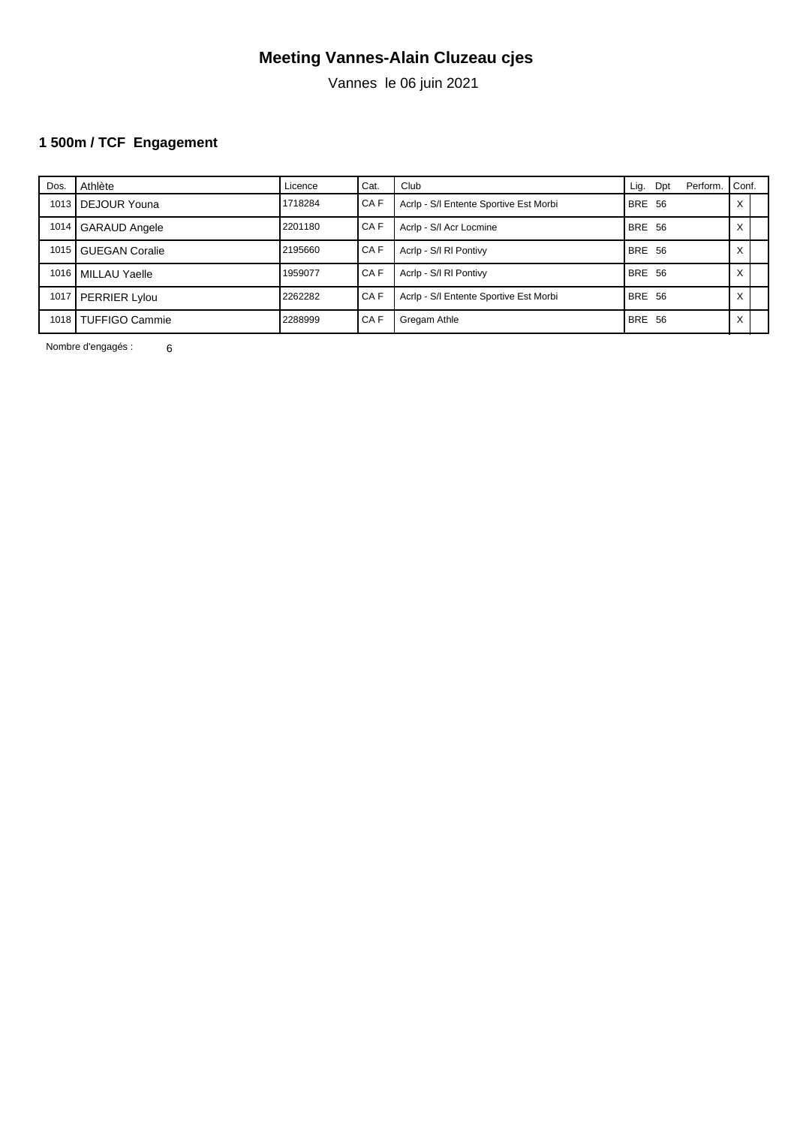Vannes le 06 juin 2021

# **1 500m / TCF Engagement**

| Dos. | Athlète               | Licence | Cat.   | Club                                   | Lig.          | Dpt | Perform. | Conf.  |  |
|------|-----------------------|---------|--------|----------------------------------------|---------------|-----|----------|--------|--|
| 1013 | DEJOUR Youna          | 1718284 | I CA F | Acrip - S/I Entente Sportive Est Morbi | <b>BRE 56</b> |     |          | ∧      |  |
| 1014 | <b>GARAUD Angele</b>  | 2201180 | I CA F | Acrip - S/I Acr Locmine                | <b>BRE 56</b> |     |          | ⌒      |  |
| 1015 | I GUEGAN Coralie      | 2195660 | I CA F | Acrip - S/I RI Pontivy                 | BRE 56        |     |          |        |  |
| 1016 | MILLAU Yaelle         | 1959077 | I CA F | Acrip - S/I RI Pontivy                 | <b>BRE 56</b> |     |          | ́      |  |
| 1017 | <b>PERRIER Lylou</b>  | 2262282 | I CA F | Acrip - S/I Entente Sportive Est Morbi | <b>BRE 56</b> |     |          | v<br>́ |  |
| 1018 | <b>TUFFIGO Cammie</b> | 2288999 | I CA F | Gregam Athle                           | BRE 56        |     |          | ∧      |  |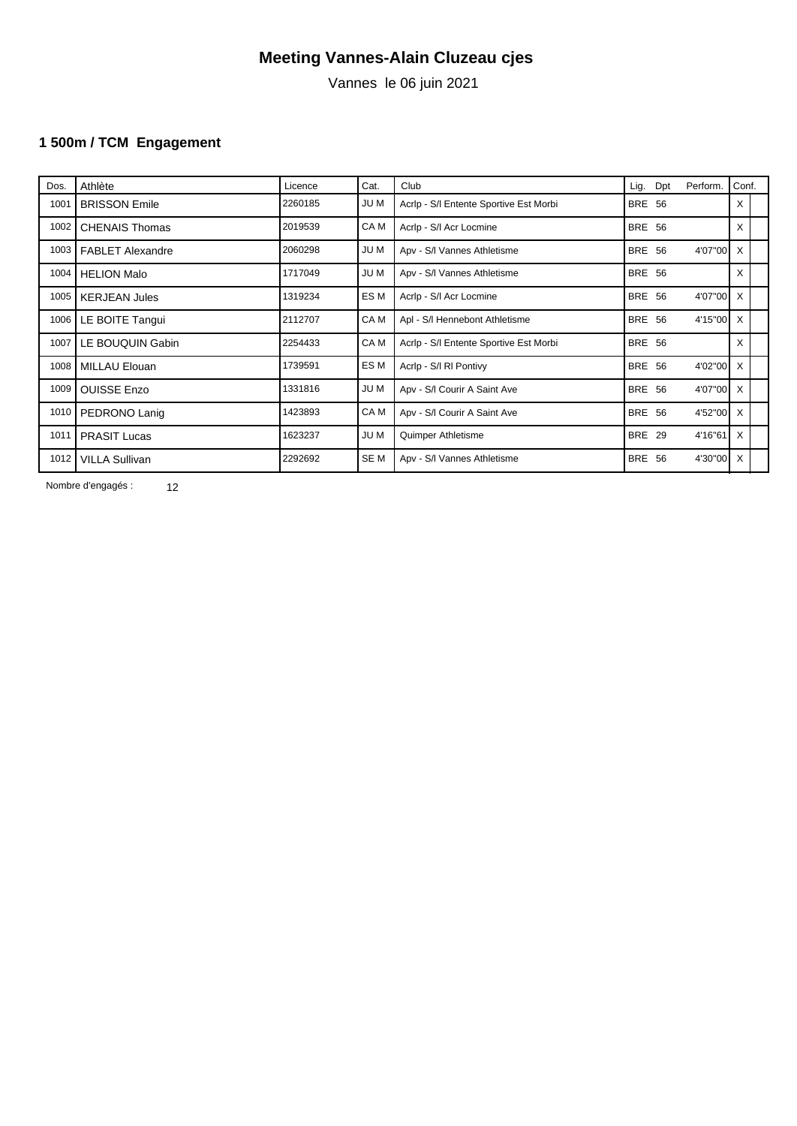Vannes le 06 juin 2021

### **1 500m / TCM Engagement**

| Acrip - S/I Entente Sportive Est Morbi<br><b>BRE 56</b><br><b>JUM</b><br><b>BRISSON Emile</b><br>X<br>1001<br>2260185<br>X<br>CA M<br><b>BRE 56</b><br>2019539<br>Acrip - S/I Acr Locmine<br>1002<br><b>CHENAIS Thomas</b><br><b>JUM</b><br>4'07"00 X<br>2060298<br><b>BRE 56</b><br>1003<br>Apv - S/I Vannes Athletisme<br><b>FABLET Alexandre</b><br>1717049<br><b>JUM</b><br>1004<br><b>BRE 56</b><br>X<br>Apv - S/I Vannes Athletisme<br><b>HELION Malo</b><br>ES M<br>1319234<br>4'07"00 X<br>Acrip - S/I Acr Locmine<br><b>BRE 56</b><br>1005<br><b>KERJEAN Jules</b><br>CA M<br>2112707<br><b>BRE 56</b><br>LE BOITE Tangui<br>Apl - S/I Hennebont Athletisme<br>4'15"00 X<br>1006<br>CA M<br>2254433<br><b>BRE 56</b><br>X<br>LE BOUQUIN Gabin<br>Acrip - S/I Entente Sportive Est Morbi<br>1007<br>ES M<br>Acrip - S/I RI Pontivy<br><b>BRE 56</b><br>4'02"00 X<br>1739591<br>1008<br>MILLAU Elouan<br><b>JUM</b><br><b>BRE 56</b><br>4'07"00 X<br>Apv - S/I Courir A Saint Ave<br>1009<br><b>OUISSE Enzo</b><br>1331816<br>CA M<br>1423893<br>4'52"00 X<br>1010<br>Apv - S/I Courir A Saint Ave<br><b>BRE 56</b><br>PEDRONO Lanig |
|---------------------------------------------------------------------------------------------------------------------------------------------------------------------------------------------------------------------------------------------------------------------------------------------------------------------------------------------------------------------------------------------------------------------------------------------------------------------------------------------------------------------------------------------------------------------------------------------------------------------------------------------------------------------------------------------------------------------------------------------------------------------------------------------------------------------------------------------------------------------------------------------------------------------------------------------------------------------------------------------------------------------------------------------------------------------------------------------------------------------------------------------|
|                                                                                                                                                                                                                                                                                                                                                                                                                                                                                                                                                                                                                                                                                                                                                                                                                                                                                                                                                                                                                                                                                                                                             |
|                                                                                                                                                                                                                                                                                                                                                                                                                                                                                                                                                                                                                                                                                                                                                                                                                                                                                                                                                                                                                                                                                                                                             |
|                                                                                                                                                                                                                                                                                                                                                                                                                                                                                                                                                                                                                                                                                                                                                                                                                                                                                                                                                                                                                                                                                                                                             |
|                                                                                                                                                                                                                                                                                                                                                                                                                                                                                                                                                                                                                                                                                                                                                                                                                                                                                                                                                                                                                                                                                                                                             |
|                                                                                                                                                                                                                                                                                                                                                                                                                                                                                                                                                                                                                                                                                                                                                                                                                                                                                                                                                                                                                                                                                                                                             |
|                                                                                                                                                                                                                                                                                                                                                                                                                                                                                                                                                                                                                                                                                                                                                                                                                                                                                                                                                                                                                                                                                                                                             |
|                                                                                                                                                                                                                                                                                                                                                                                                                                                                                                                                                                                                                                                                                                                                                                                                                                                                                                                                                                                                                                                                                                                                             |
|                                                                                                                                                                                                                                                                                                                                                                                                                                                                                                                                                                                                                                                                                                                                                                                                                                                                                                                                                                                                                                                                                                                                             |
|                                                                                                                                                                                                                                                                                                                                                                                                                                                                                                                                                                                                                                                                                                                                                                                                                                                                                                                                                                                                                                                                                                                                             |
|                                                                                                                                                                                                                                                                                                                                                                                                                                                                                                                                                                                                                                                                                                                                                                                                                                                                                                                                                                                                                                                                                                                                             |
| 1623237<br><b>JUM</b><br><b>BRE 29</b><br>$4'16''61$ X<br>1011<br><b>PRASIT Lucas</b><br>Quimper Athletisme                                                                                                                                                                                                                                                                                                                                                                                                                                                                                                                                                                                                                                                                                                                                                                                                                                                                                                                                                                                                                                 |
| SE M<br>2292692<br>1012<br><b>BRE 56</b><br>4'30"00 X<br><b>VILLA Sullivan</b><br>Apv - S/I Vannes Athletisme                                                                                                                                                                                                                                                                                                                                                                                                                                                                                                                                                                                                                                                                                                                                                                                                                                                                                                                                                                                                                               |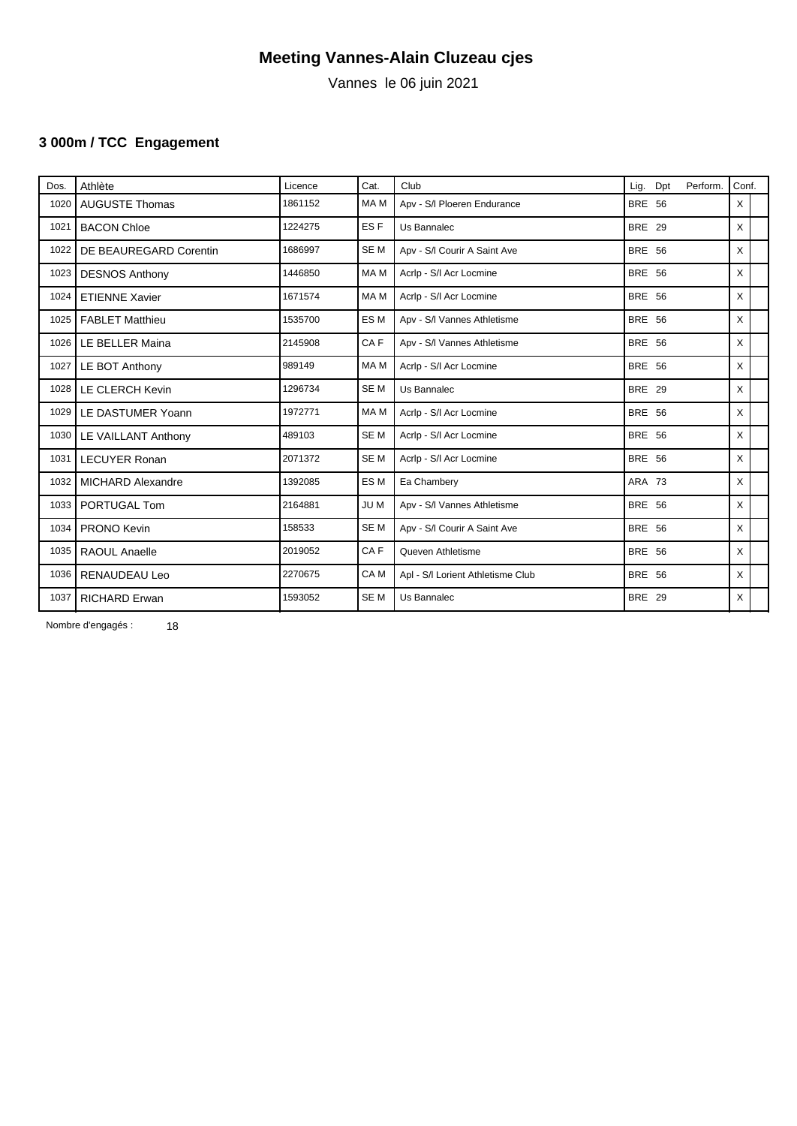Vannes le 06 juin 2021

# **3 000m / TCC Engagement**

| Dos. | Athlète                | Licence | Cat.            | Club                              | Perform.<br>Lig.<br>Dpt | Conf.    |  |
|------|------------------------|---------|-----------------|-----------------------------------|-------------------------|----------|--|
| 1020 | <b>AUGUSTE Thomas</b>  | 1861152 | MA M            | Apv - S/I Ploeren Endurance       | <b>BRE 56</b>           | X        |  |
| 1021 | <b>BACON Chloe</b>     | 1224275 | ES <sub>F</sub> | Us Bannalec                       | <b>BRE 29</b>           | X        |  |
| 1022 | DE BEAUREGARD Corentin | 1686997 | SE <sub>M</sub> | Apv - S/I Courir A Saint Ave      | <b>BRE 56</b>           | $\times$ |  |
| 1023 | <b>DESNOS Anthony</b>  | 1446850 | MA M            | Acrlp - S/I Acr Locmine           | <b>BRE 56</b>           | X        |  |
| 1024 | <b>ETIENNE Xavier</b>  | 1671574 | MA M            | Acrlp - S/I Acr Locmine           | <b>BRE 56</b>           | X        |  |
| 1025 | <b>FABLET Matthieu</b> | 1535700 | ES <sub>M</sub> | Apv - S/I Vannes Athletisme       | <b>BRE 56</b>           | X        |  |
| 1026 | LE BELLER Maina        | 2145908 | CAF             | Apv - S/I Vannes Athletisme       | <b>BRE 56</b>           | X        |  |
| 1027 | LE BOT Anthony         | 989149  | MA M            | Acrip - S/I Acr Locmine           | <b>BRE 56</b>           | X        |  |
| 1028 | LE CLERCH Kevin        | 1296734 | SE <sub>M</sub> | Us Bannalec                       | <b>BRE 29</b>           | X        |  |
| 1029 | LE DASTUMER Yoann      | 1972771 | MA M            | Acrip - S/I Acr Locmine           | <b>BRE 56</b>           | X        |  |
| 1030 | LE VAILLANT Anthony    | 489103  | SE <sub>M</sub> | Acrlp - S/I Acr Locmine           | <b>BRE 56</b>           | $\times$ |  |
| 1031 | <b>LECUYER Ronan</b>   | 2071372 | SE <sub>M</sub> | Acrip - S/I Acr Locmine           | <b>BRE 56</b>           | X        |  |
| 1032 | MICHARD Alexandre      | 1392085 | ES <sub>M</sub> | Ea Chambery                       | ARA 73                  | X        |  |
| 1033 | <b>PORTUGAL Tom</b>    | 2164881 | JU M            | Apv - S/I Vannes Athletisme       | <b>BRE 56</b>           | X        |  |
| 1034 | <b>PRONO Kevin</b>     | 158533  | SE <sub>M</sub> | Apv - S/I Courir A Saint Ave      | <b>BRE 56</b>           | X        |  |
| 1035 | <b>RAOUL Anaelle</b>   | 2019052 | CAF             | Queven Athletisme                 | <b>BRE 56</b>           | X        |  |
| 1036 | RENAUDEAU Leo          | 2270675 | CA <sub>M</sub> | Apl - S/I Lorient Athletisme Club | <b>BRE 56</b>           | X        |  |
| 1037 | <b>RICHARD Erwan</b>   | 1593052 | SE <sub>M</sub> | Us Bannalec                       | <b>BRE 29</b>           | X        |  |
|      |                        |         |                 |                                   |                         |          |  |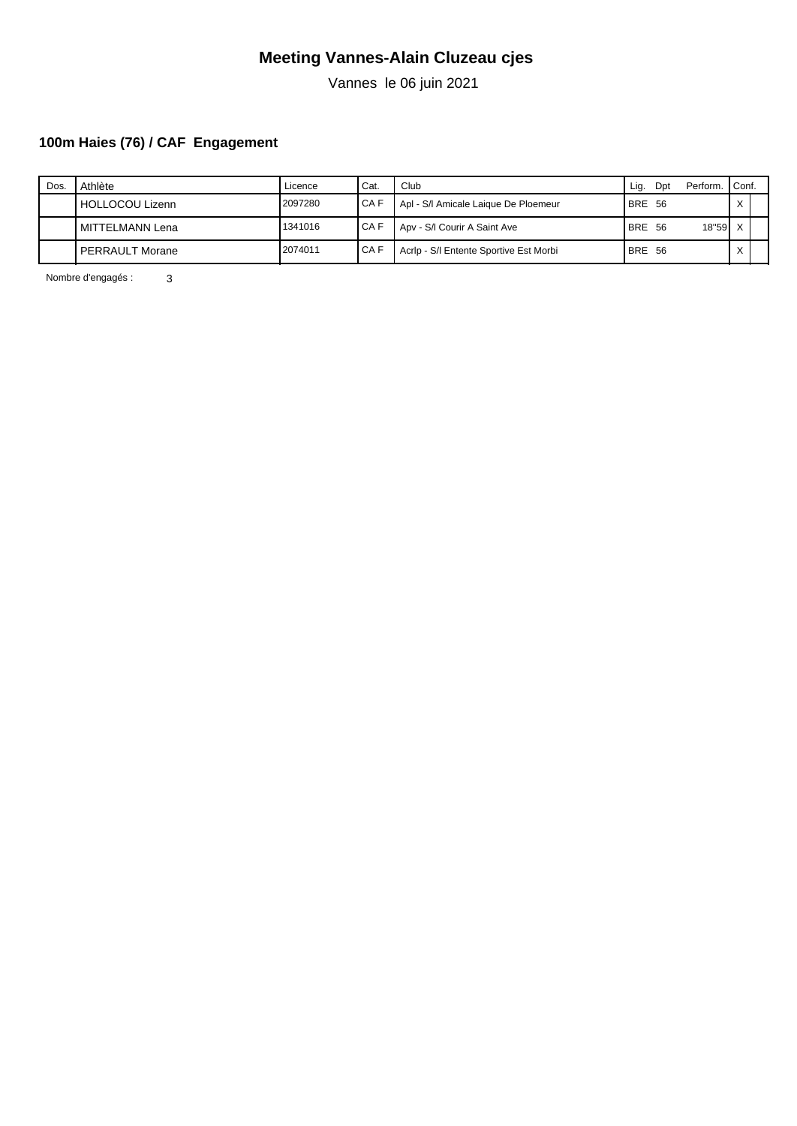Vannes le 06 juin 2021

# **100m Haies (76) / CAF Engagement**

| Dos | Athlète                | Licence | ' Cat. | Club                                   | Lig        | Dpt  | Perform.  | Conf.        |  |
|-----|------------------------|---------|--------|----------------------------------------|------------|------|-----------|--------------|--|
|     | HOLLOCOU Lizenn        | 2097280 | ICAF   | Apl - S/I Amicale Laique De Ploemeur   | BRE 56     |      |           | $\checkmark$ |  |
|     | MITTELMANN Lena        | 1341016 | I CA F | Apv - S/I Courir A Saint Ave           | <b>BRE</b> | - 56 | $18"59$ X |              |  |
|     | <b>PERRAULT Morane</b> | 2074011 | I CA F | Acrip - S/I Entente Sportive Est Morbi | BRE 56     |      |           | $\checkmark$ |  |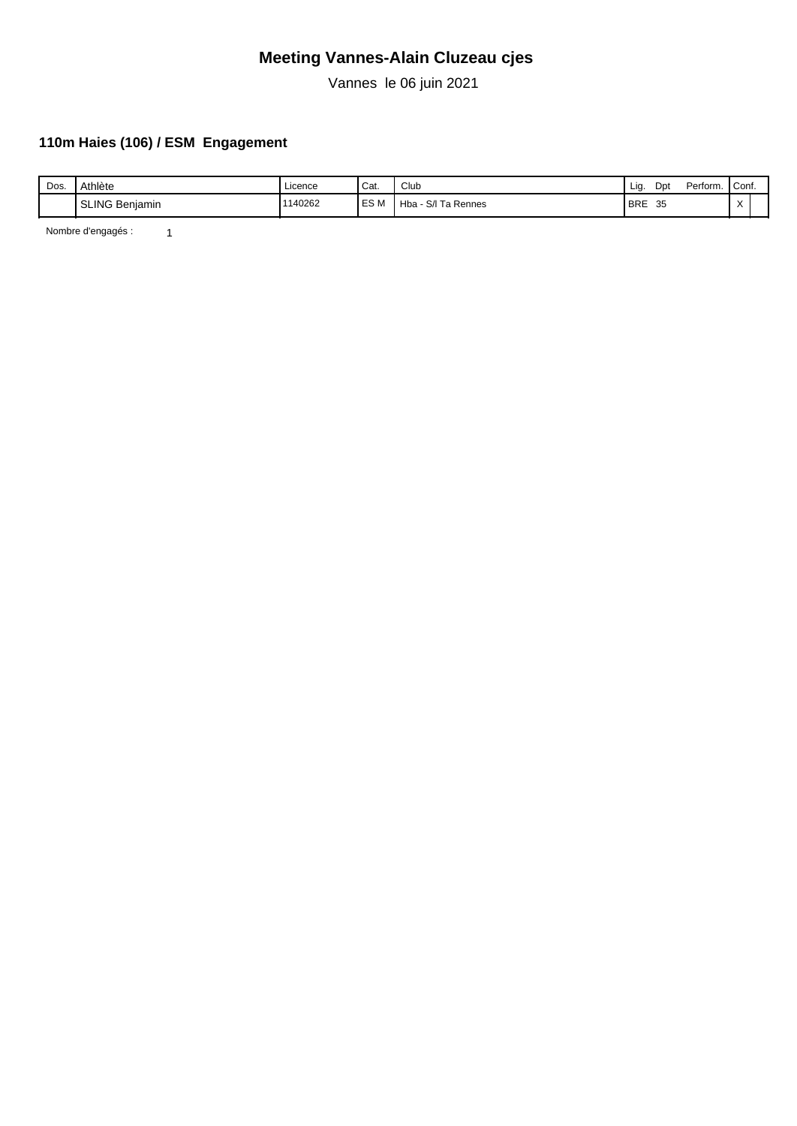Vannes le 06 juin 2021

### **110m Haies (106) / ESM Engagement**

| Dos. | Athlète                    | . .<br>Licence | ' Cat. | Club                                                | Lia        | Dpt | Perform. | Conf.     |  |
|------|----------------------------|----------------|--------|-----------------------------------------------------|------------|-----|----------|-----------|--|
|      | <b>SLING Benjamin</b><br>. | 1140262        | ES M   | Ta Rennes<br>$\overline{\phantom{a}}$<br>Hba<br>S/I | <b>BRE</b> | 35  |          | $\lambda$ |  |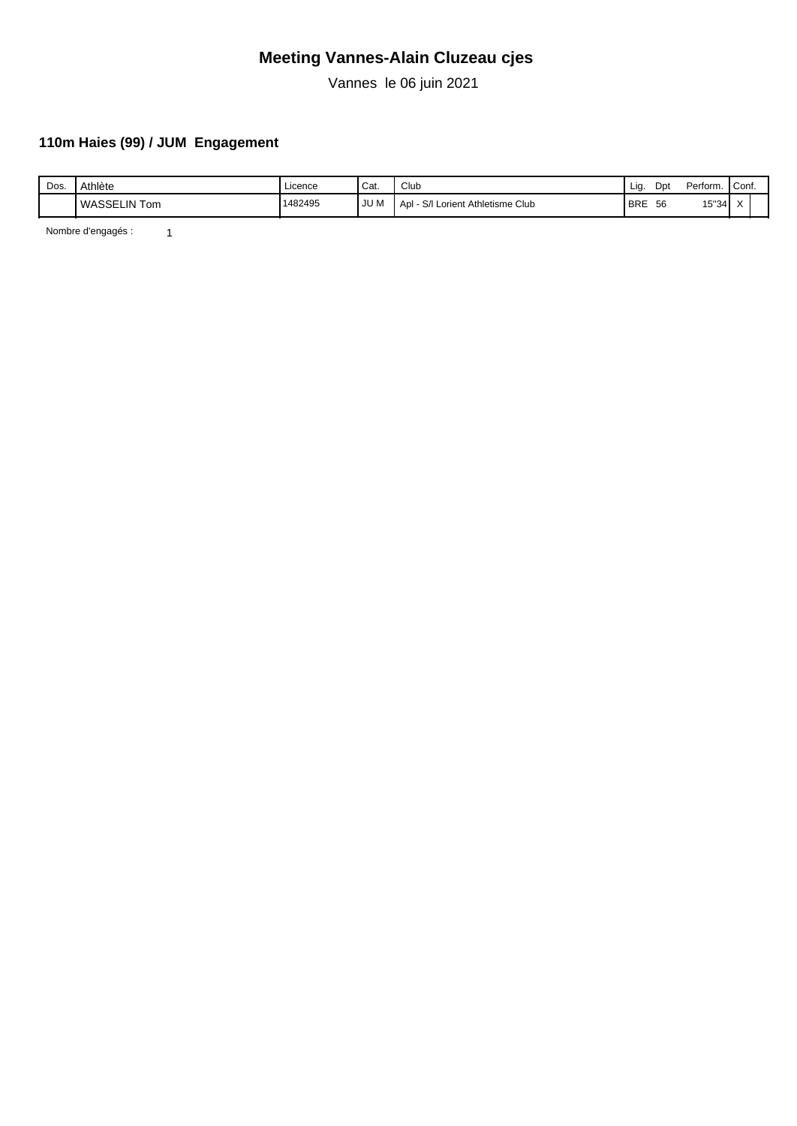Vannes le 06 juin 2021

### **110m Haies (99) / JUM Engagement**

| Dos. | Athlète                   | . .<br>Licence | ' Cat. | Club                                  | Lia        | Dpt | Perform. | Conf.                   |  |
|------|---------------------------|----------------|--------|---------------------------------------|------------|-----|----------|-------------------------|--|
|      | <b>WASSELIN To</b><br>Tom | 1482495        | JU M   | S/I<br>Lorient Athletisme Club<br>Apl | <b>BRE</b> | 56  | 15"34    | $\lambda$<br>$\sqrt{ }$ |  |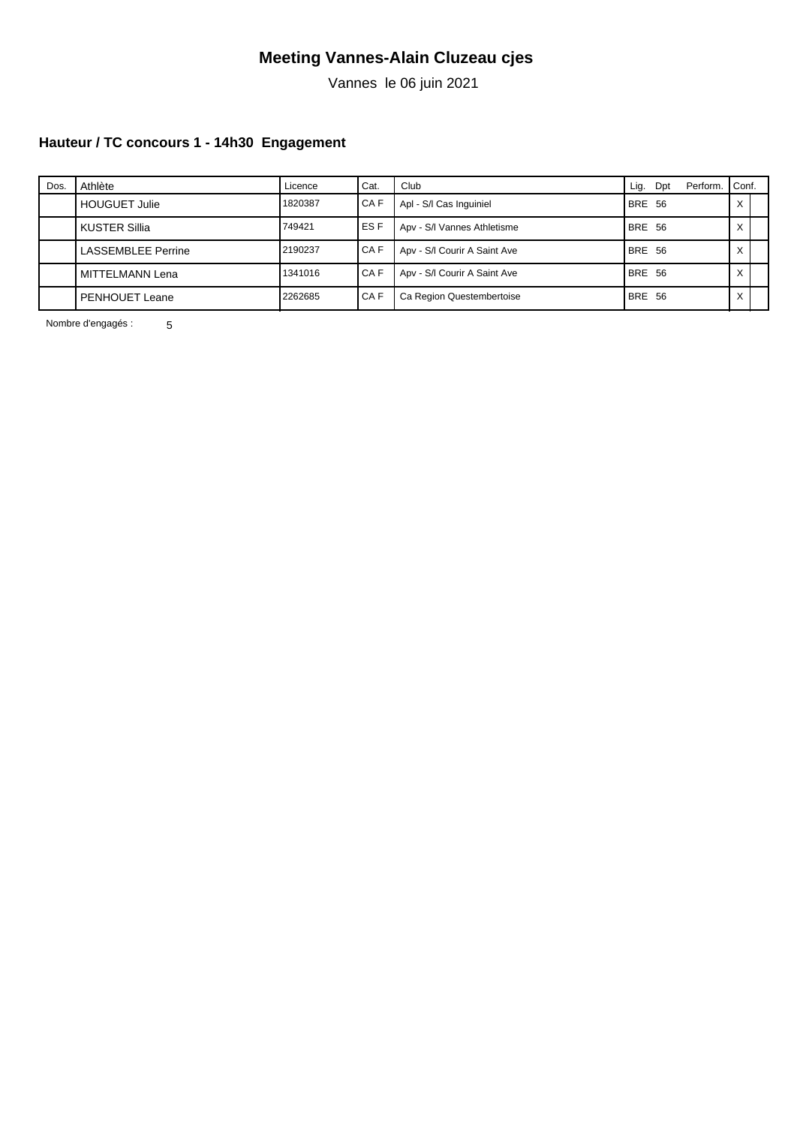Vannes le 06 juin 2021

### **Hauteur / TC concours 1 - 14h30 Engagement**

| Dos. | Athlète                   | Licence | Cat.   | Club                         | Lig.          | Dpt | Perform. | Conf.        |  |
|------|---------------------------|---------|--------|------------------------------|---------------|-----|----------|--------------|--|
|      | <b>HOUGUET Julie</b>      | 1820387 | I CA F | Apl - S/I Cas Inguiniel      | <b>BRE 56</b> |     |          |              |  |
|      | <b>KUSTER Sillia</b>      | 749421  | I ES F | Apv - S/I Vannes Athletisme  | <b>BRE 56</b> |     |          |              |  |
|      | <b>LASSEMBLEE Perrine</b> | 2190237 | I CA F | Apv - S/I Courir A Saint Ave | <b>BRE 56</b> |     |          | v<br>⌒       |  |
|      | MITTELMANN Lena           | 1341016 | I CA F | Apv - S/I Courir A Saint Ave | <b>BRE 56</b> |     |          | $\checkmark$ |  |
|      | PENHOUET Leane            | 2262685 | I CA F | Ca Region Questembertoise    | <b>BRE 56</b> |     |          | ⌒            |  |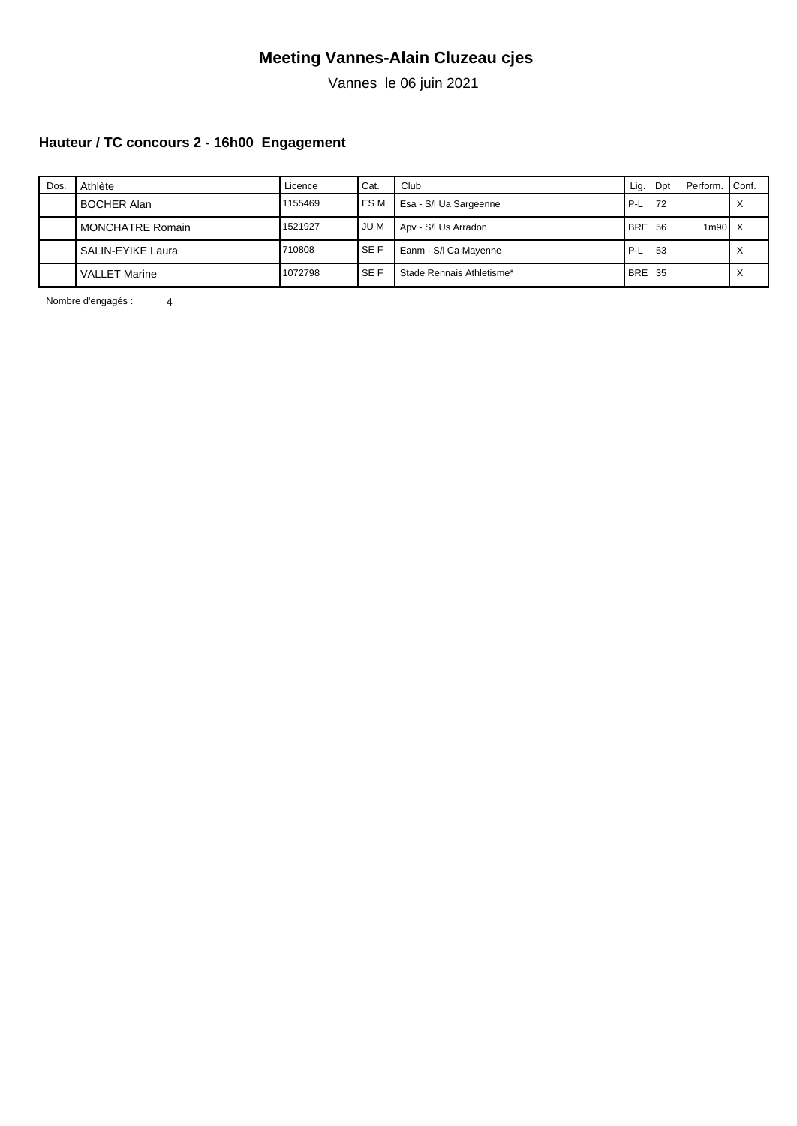Vannes le 06 juin 2021

### **Hauteur / TC concours 2 - 16h00 Engagement**

| Dos. | Athlète              | Licence | ' Cat.     | Club                      | Lig.          | Dpt | Perform. | Conf.        |  |
|------|----------------------|---------|------------|---------------------------|---------------|-----|----------|--------------|--|
|      | <b>BOCHER Alan</b>   | 1155469 | I ES M     | Esa - S/I Ua Sargeenne    | ' P-L         | 72  |          | $\checkmark$ |  |
|      | MONCHATRE Romain     | 1521927 | <b>JUM</b> | Apv - S/I Us Arradon      | <b>BRE 56</b> |     | $1m90$ X |              |  |
|      | SALIN-EYIKE Laura    | 710808  | <b>SEF</b> | Eanm - S/I Ca Mayenne     | P-L           | -53 |          | $\checkmark$ |  |
|      | <b>VALLET Marine</b> | 1072798 | l SE F     | Stade Rennais Athletisme* | <b>BRE 35</b> |     |          | $\checkmark$ |  |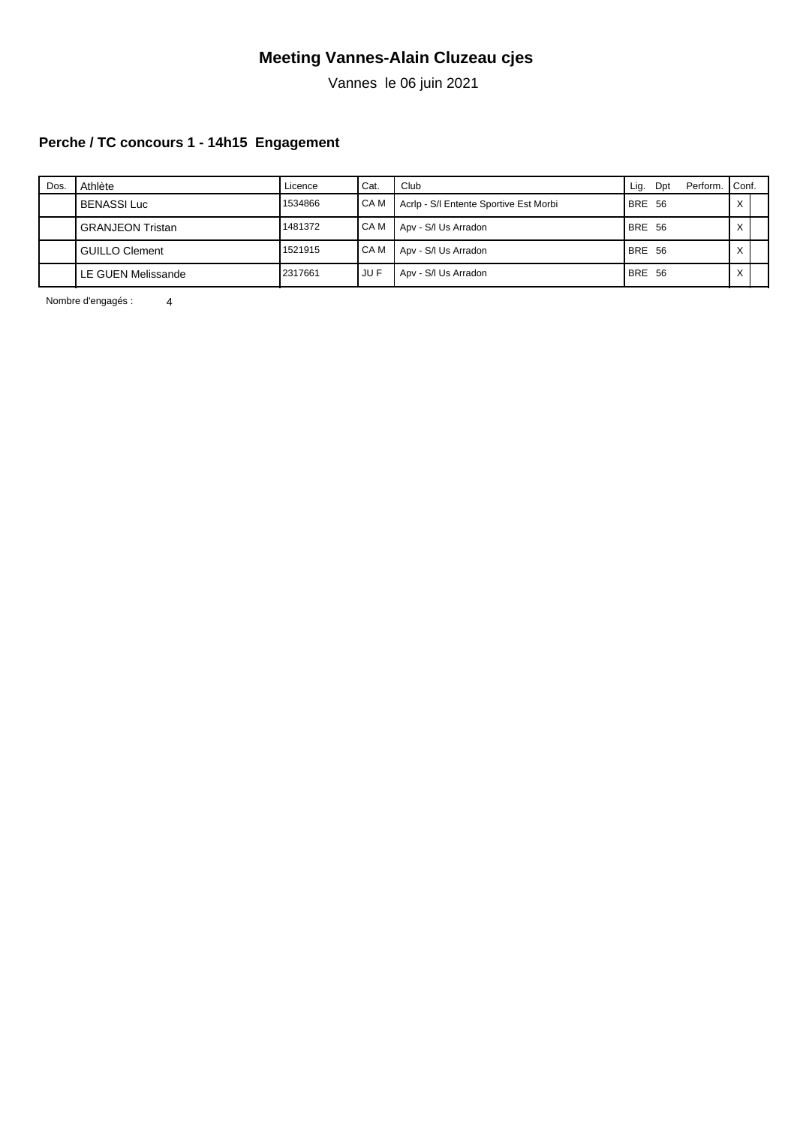Vannes le 06 juin 2021

### **Perche / TC concours 1 - 14h15 Engagement**

| Dos. | Athlète                 | Licence | Cat.   | Club                                   | Lig.          | Dpt | Perform. | Conf.        |  |
|------|-------------------------|---------|--------|----------------------------------------|---------------|-----|----------|--------------|--|
|      | <b>BENASSI Luc</b>      | 1534866 | I CA M | Acrip - S/I Entente Sportive Est Morbi | <b>BRE 56</b> |     |          | $\checkmark$ |  |
|      | <b>GRANJEON Tristan</b> | 1481372 | I CA M | Apv - S/I Us Arradon                   | <b>BRE 56</b> |     |          | $\checkmark$ |  |
|      | <b>GUILLO Clement</b>   | 1521915 | I CA M | Apv - S/I Us Arradon                   | <b>BRE 56</b> |     |          | $\checkmark$ |  |
|      | LE GUEN Melissande      | 2317661 | JU F   | Apv - S/I Us Arradon                   | BRE 56        |     |          | $\checkmark$ |  |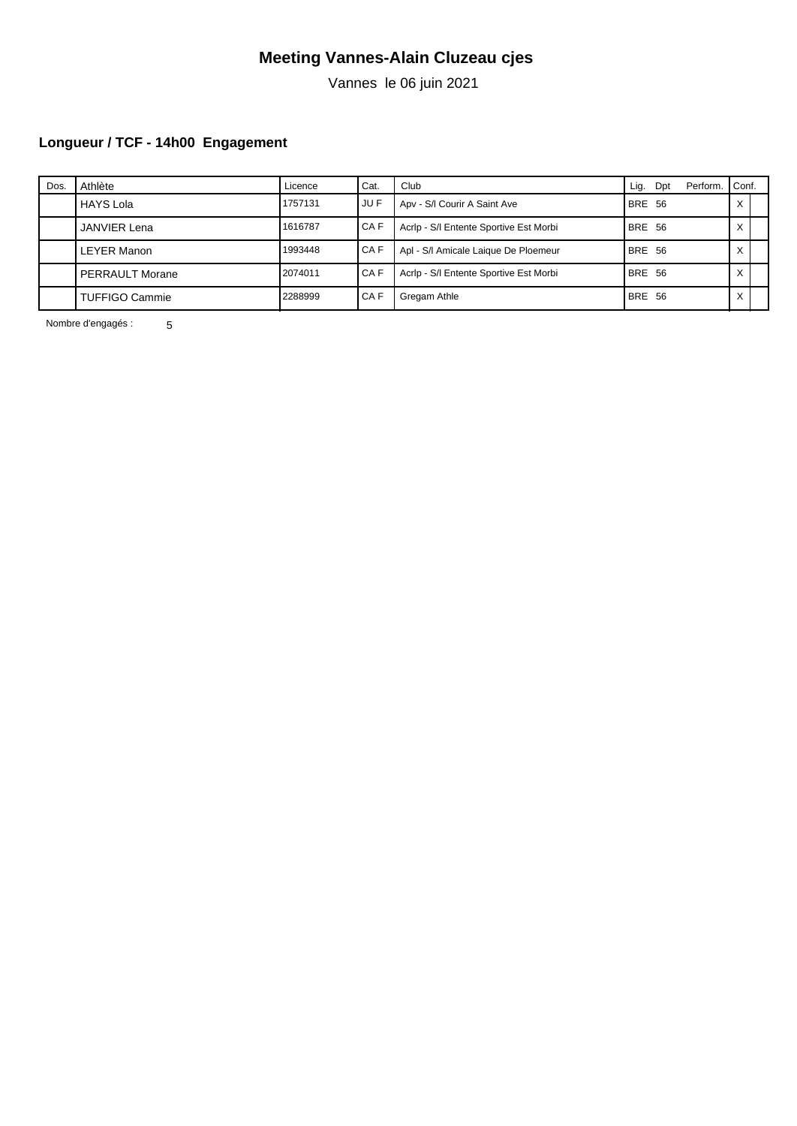Vannes le 06 juin 2021

# **Longueur / TCF - 14h00 Engagement**

| Dos. | Athlète                | Licence | Cat.   | Club                                   | Lig.          | Dpt | Perform. | I Conf.      |  |
|------|------------------------|---------|--------|----------------------------------------|---------------|-----|----------|--------------|--|
|      | HAYS Lola              | 1757131 | i JU F | Apv - S/I Courir A Saint Ave           | <b>BRE 56</b> |     |          | ⌒            |  |
|      | <b>JANVIER Lena</b>    | 1616787 | I CA F | Acrip - S/I Entente Sportive Est Morbi | <b>BRE 56</b> |     |          |              |  |
|      | <b>LEYER Manon</b>     | 1993448 | I CA F | Apl - S/I Amicale Laique De Ploemeur   | <b>BRE 56</b> |     |          | $\checkmark$ |  |
|      | <b>PERRAULT Morane</b> | 2074011 | CA F   | Acrip - S/I Entente Sportive Est Morbi | <b>BRE 56</b> |     |          | $\checkmark$ |  |
|      | <b>TUFFIGO Cammie</b>  | 2288999 | l CA F | Gregam Athle                           | <b>BRE 56</b> |     |          | ⌒            |  |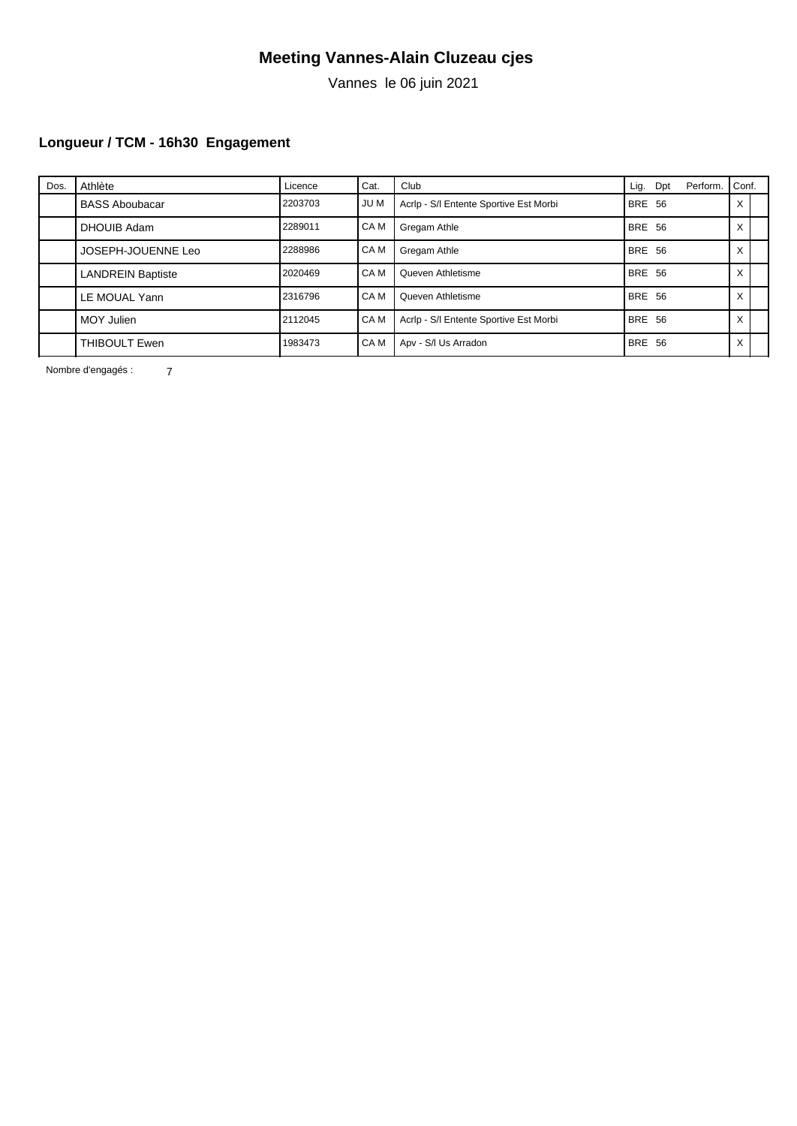Vannes le 06 juin 2021

# **Longueur / TCM - 16h30 Engagement**

| Dos. | Athlète                  | Licence | Cat. | Club                                   | Lig.          | Dpt | Perform. | Conf.             |  |
|------|--------------------------|---------|------|----------------------------------------|---------------|-----|----------|-------------------|--|
|      | <b>BASS Aboubacar</b>    | 2203703 | JU M | Acrip - S/I Entente Sportive Est Morbi | <b>BRE 56</b> |     |          | X                 |  |
|      | DHOUIB Adam              | 2289011 | CA M | Gregam Athle                           | BRE 56        |     |          | X                 |  |
|      | JOSEPH-JOUENNE Leo       | 2288986 | CA M | Gregam Athle                           | BRE 56        |     |          | $\checkmark$<br>⋏ |  |
|      | <b>LANDREIN Baptiste</b> | 2020469 | CA M | Queven Athletisme                      | BRE 56        |     |          | X                 |  |
|      | LE MOUAL Yann            | 2316796 | CA M | Queven Athletisme                      | BRE 56        |     |          | X                 |  |
|      | MOY Julien               | 2112045 | CA M | Acrlp - S/I Entente Sportive Est Morbi | BRE 56        |     |          | X                 |  |
|      | THIBOULT Ewen            | 1983473 | CA M | Apv - S/I Us Arradon                   | BRE 56        |     |          | Χ                 |  |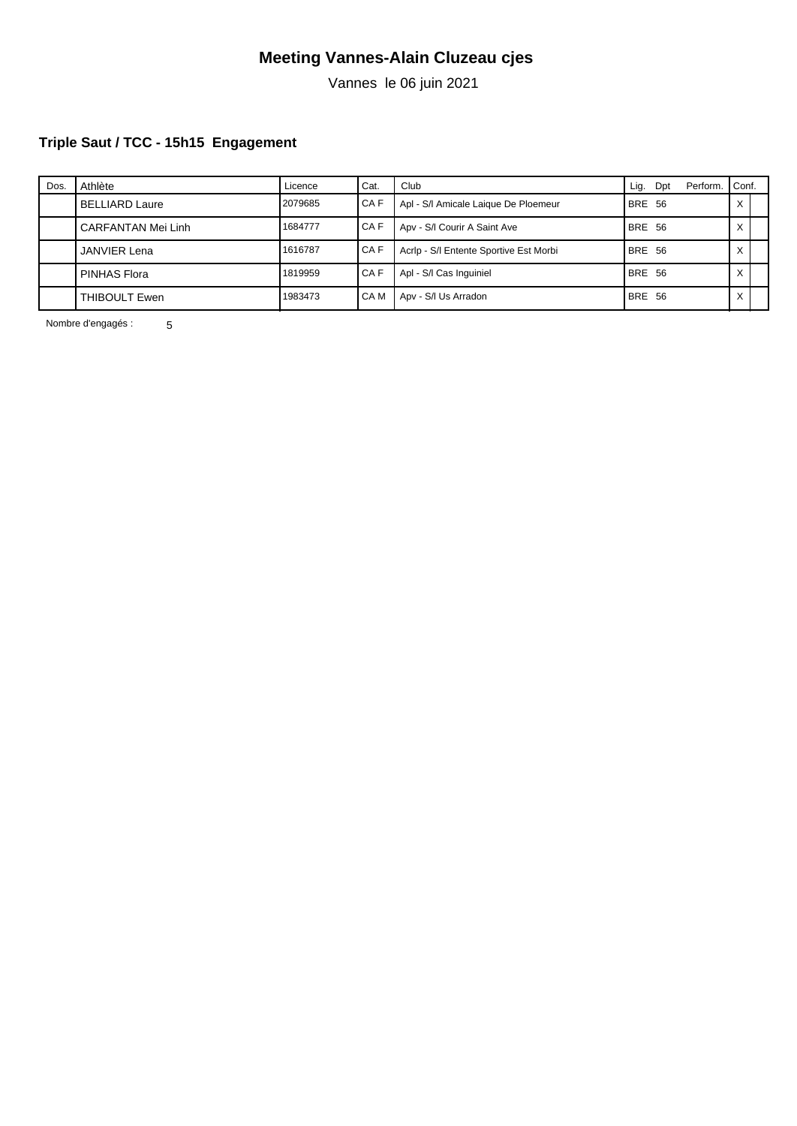Vannes le 06 juin 2021

### **Triple Saut / TCC - 15h15 Engagement**

| Dos. | Athlète               | Licence | ' Cat. | Club                                   | Lig.          | Dpt | Perform. | I Conf.      |  |
|------|-----------------------|---------|--------|----------------------------------------|---------------|-----|----------|--------------|--|
|      | <b>BELLIARD Laure</b> | 2079685 | I CA F | Apl - S/I Amicale Laigue De Ploemeur   | BRE 56        |     |          |              |  |
|      | CARFANTAN Mei Linh    | 1684777 | I CA F | Apv - S/I Courir A Saint Ave           | <b>BRE 56</b> |     |          |              |  |
|      | <b>JANVIER Lena</b>   | 1616787 | CA F   | Acrip - S/I Entente Sportive Est Morbi | <b>BRE 56</b> |     |          | $\checkmark$ |  |
|      | <b>PINHAS Flora</b>   | 1819959 | I CA F | Apl - S/I Cas Inquiniel                | <b>BRE 56</b> |     |          | ⌒            |  |
|      | THIBOULT Ewen         | 1983473 | I CA M | Apv - S/I Us Arradon                   | <b>BRE 56</b> |     |          | v            |  |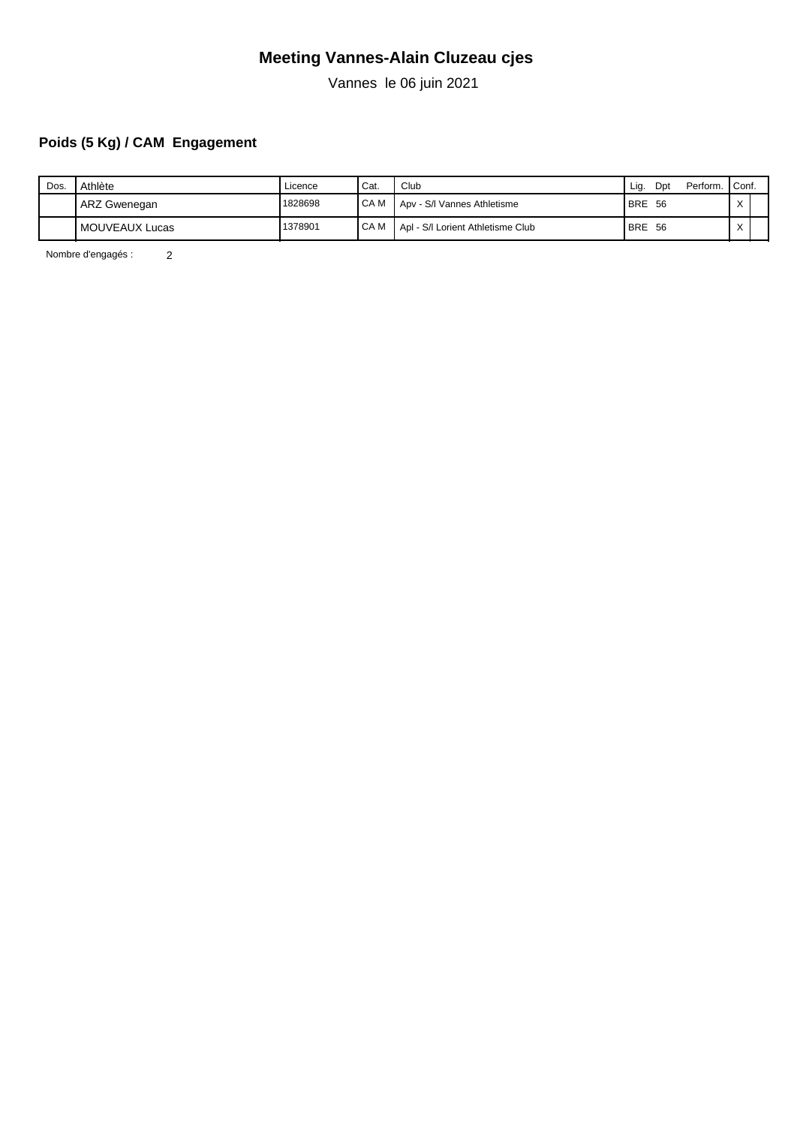Vannes le 06 juin 2021

# **Poids (5 Kg) / CAM Engagement**

| Dos. | Athlète        | ∟icence | <sup>I</sup> Cat. | Club                              | Perform. Conf.<br>Dpt<br>Lig. |              |  |
|------|----------------|---------|-------------------|-----------------------------------|-------------------------------|--------------|--|
|      | ARZ Gwenegan   | 1828698 | I CA M            | Apv - S/I Vannes Athletisme       | <b>BRE</b><br>-56             | $\sqrt{}$    |  |
|      | MOUVEAUX Lucas | 1378901 | I CA M            | Apl - S/I Lorient Athletisme Club | <b>BRE</b><br>-56             | $\checkmark$ |  |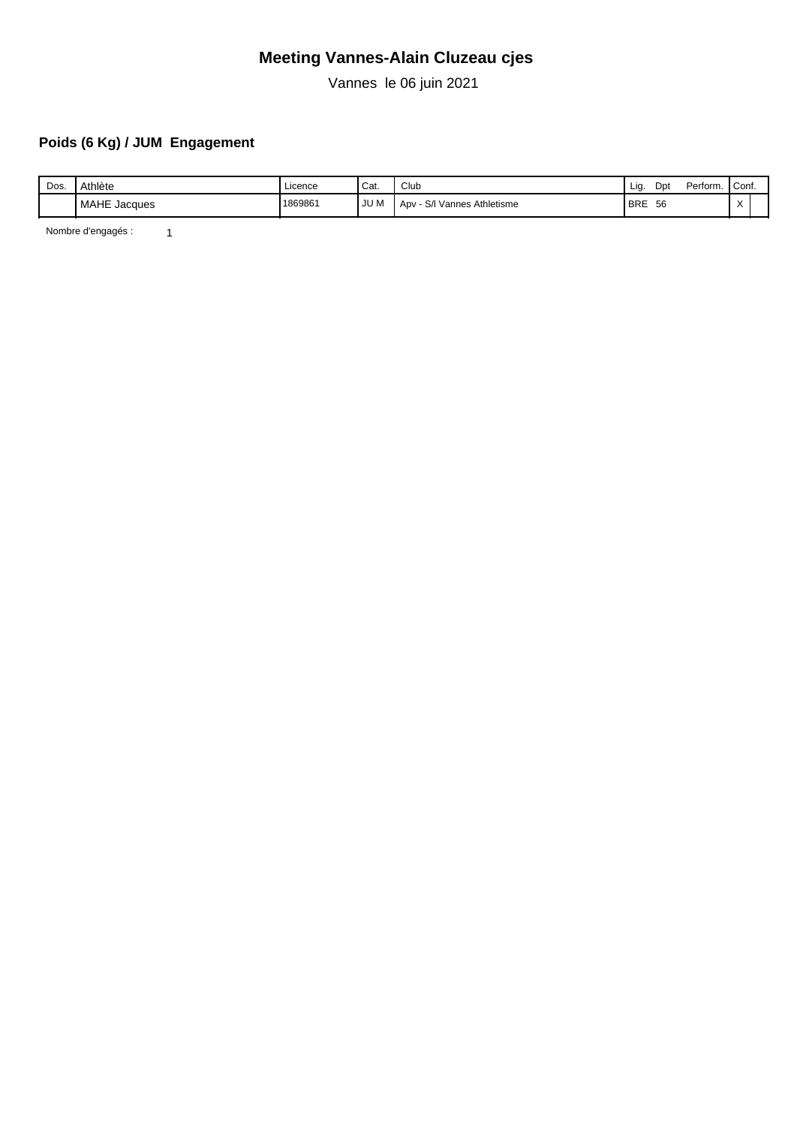Vannes le 06 juin 2021

# **Poids (6 Kg) / JUM Engagement**

| Dos. | Athlète      | Licence | Cat. | Club                                             | Lia        | Dp | Perform. | Conf.                  |  |
|------|--------------|---------|------|--------------------------------------------------|------------|----|----------|------------------------|--|
|      | MAHE Jacques | 1869861 | JU M | $\sim$<br>Athletisme<br>Vannes Ath<br>Apv<br>5/1 | <b>BRE</b> | 56 |          | $\lambda$<br>$\lambda$ |  |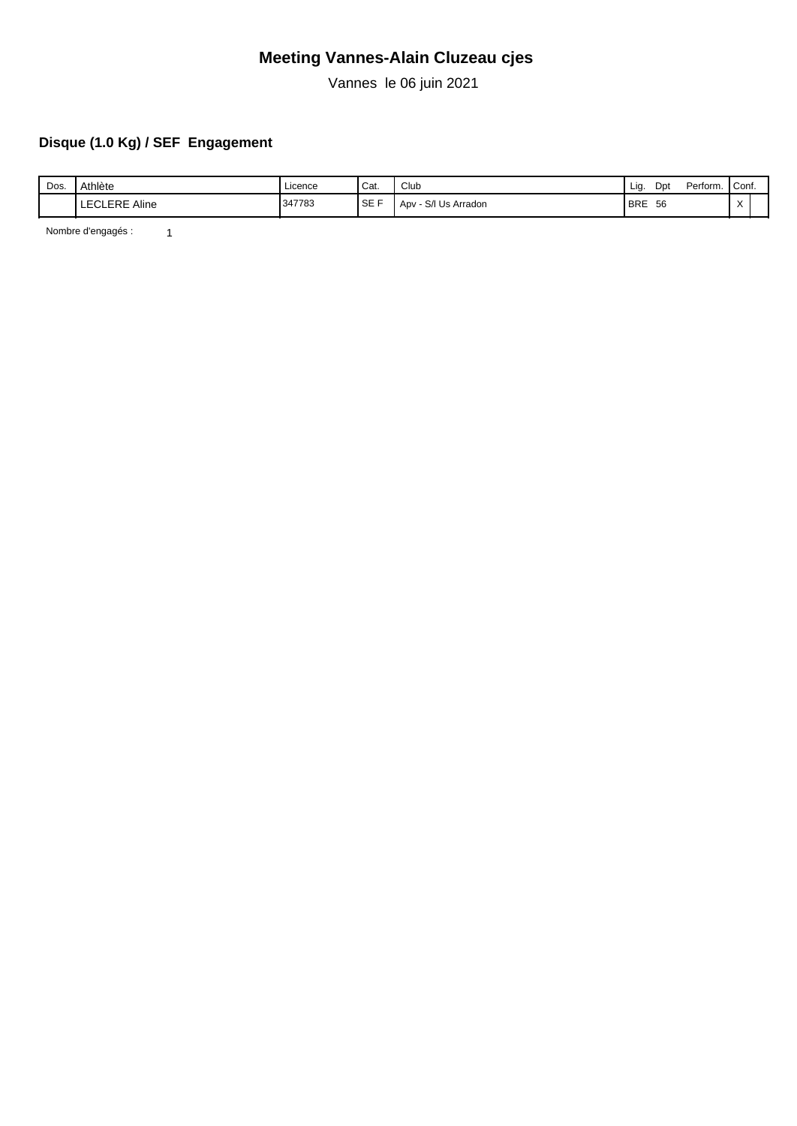Vannes le 06 juin 2021

# **Disque (1.0 Kg) / SEF Engagement**

| Dos. | Athlète                 | Licence | Cat.   | $\sim$<br>Club          | Lia.       | Dpt | Perform. | Conf.                  |  |
|------|-------------------------|---------|--------|-------------------------|------------|-----|----------|------------------------|--|
|      | <b>LECLERE</b><br>Aline | 347783  | I SE F | - S/I Us Arradon<br>Apv | <b>BRE</b> | 56  |          | $\lambda$<br>$\lambda$ |  |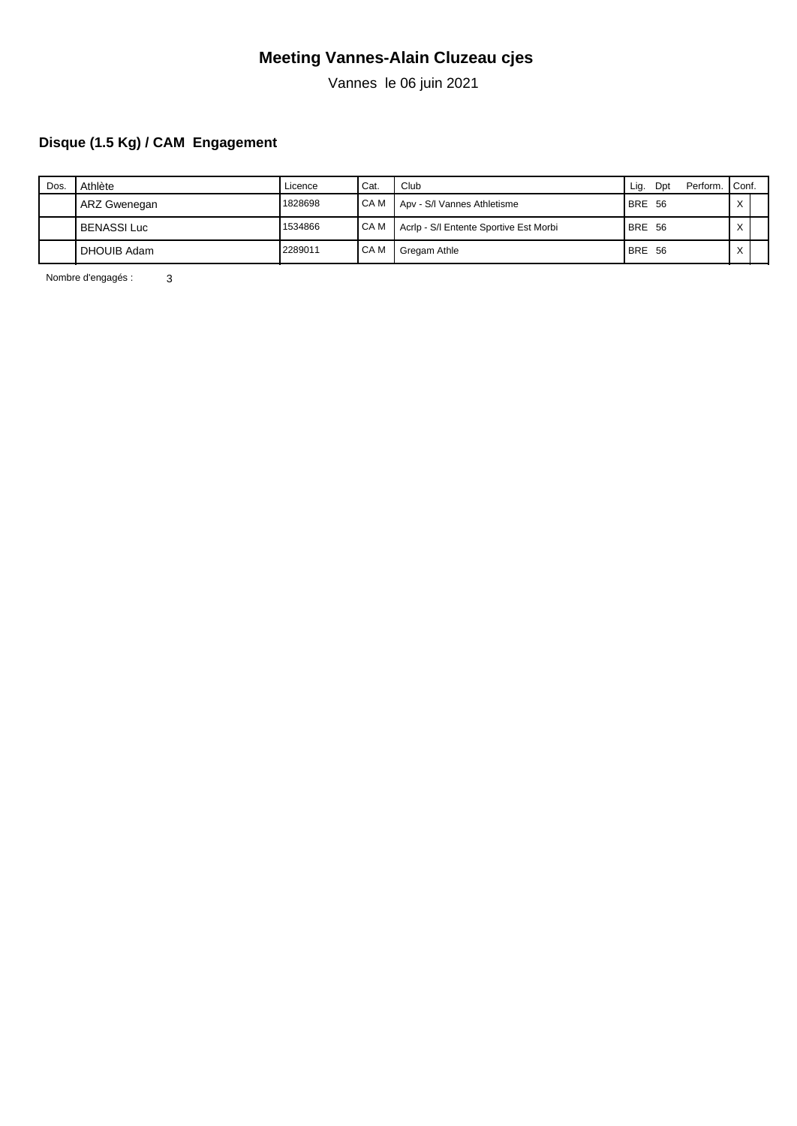Vannes le 06 juin 2021

### **Disque (1.5 Kg) / CAM Engagement**

| Dos. | Athlète            | Licence | <sup>I</sup> Cat. | Club                                   | Perform.<br>Lig.<br>Dpt | Conf.             |  |
|------|--------------------|---------|-------------------|----------------------------------------|-------------------------|-------------------|--|
|      | ARZ Gwenegan       | 1828698 | I CA M            | Apv - S/I Vannes Athletisme            | BRE 56                  | $\checkmark$<br>⌒ |  |
|      | <b>BENASSI Luc</b> | 1534866 | I CA M            | Acrip - S/I Entente Sportive Est Morbi | BRE 56                  | $\checkmark$      |  |
|      | <b>DHOUIB Adam</b> | 2289011 | I CA M            | Gregam Athle                           | <b>BRE 56</b>           | $\checkmark$      |  |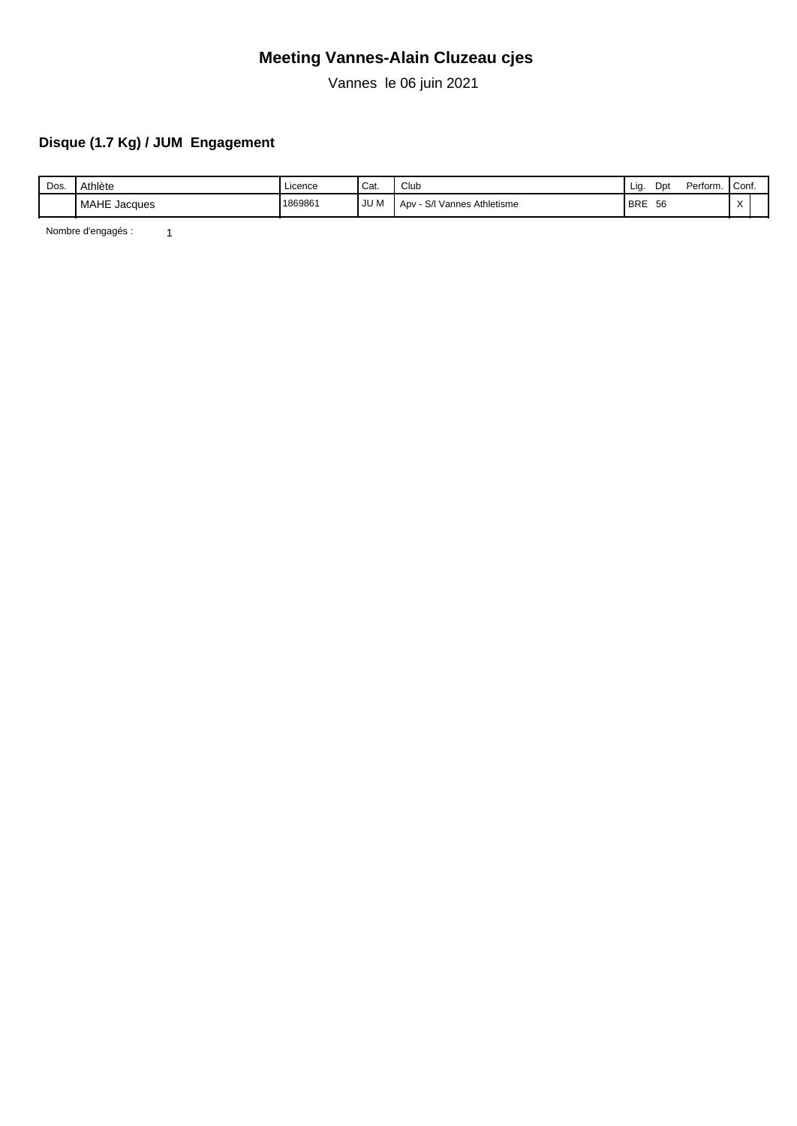Vannes le 06 juin 2021

### **Disque (1.7 Kg) / JUM Engagement**

| Dos. | Athlète      | Licence | Cat. | Club                                 | Lıq        | Dpt | Perform. | Conf.     |  |
|------|--------------|---------|------|--------------------------------------|------------|-----|----------|-----------|--|
|      | MAHE Jacques | 1869861 | JU M | Athletisme<br>Vannes A<br>Apv<br>5/1 | <b>BRE</b> | 56  |          | $\lambda$ |  |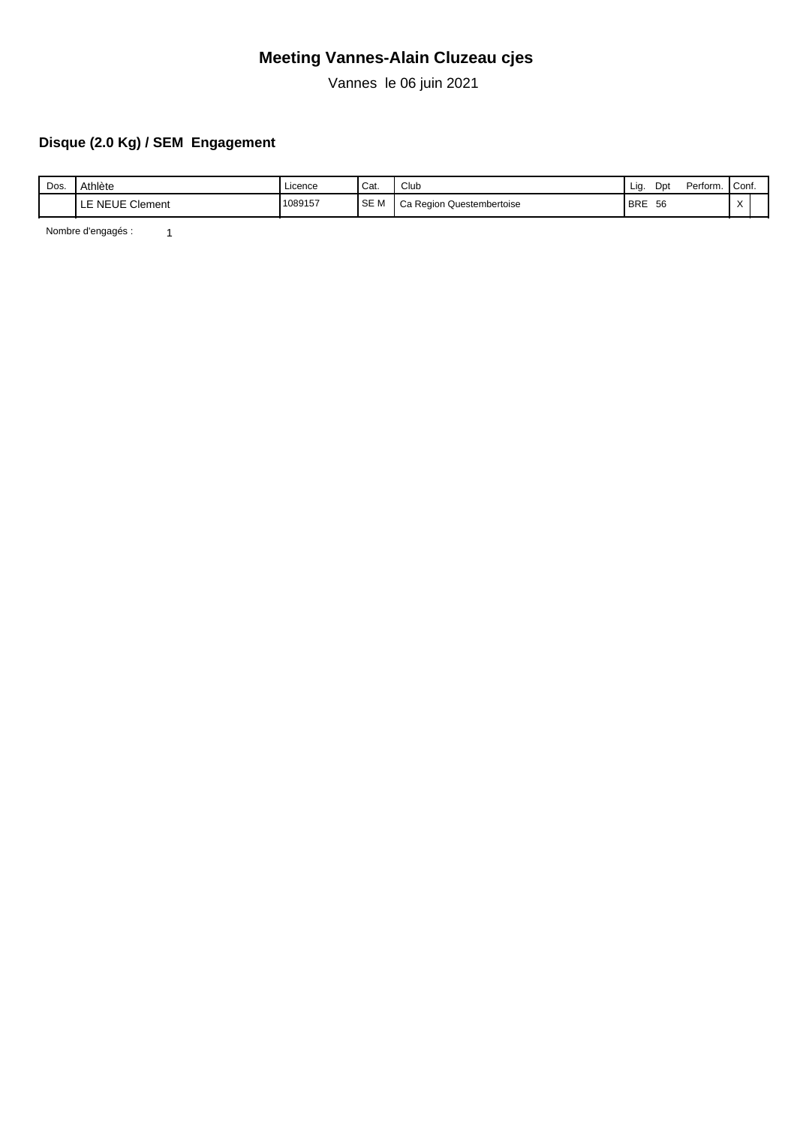Vannes le 06 juin 2021

### **Disque (2.0 Kg) / SEM Engagement**

| Dos. | Athlète                   | Licence | Cat.       | Club                      | Lig        | Dp | Perform. | Conf.     |  |
|------|---------------------------|---------|------------|---------------------------|------------|----|----------|-----------|--|
|      | LE NEUE<br>Clement<br>╶┖┙ | 1089157 | <b>SEM</b> | Ca Region Questembertoise | <b>BRE</b> | 56 |          | $\lambda$ |  |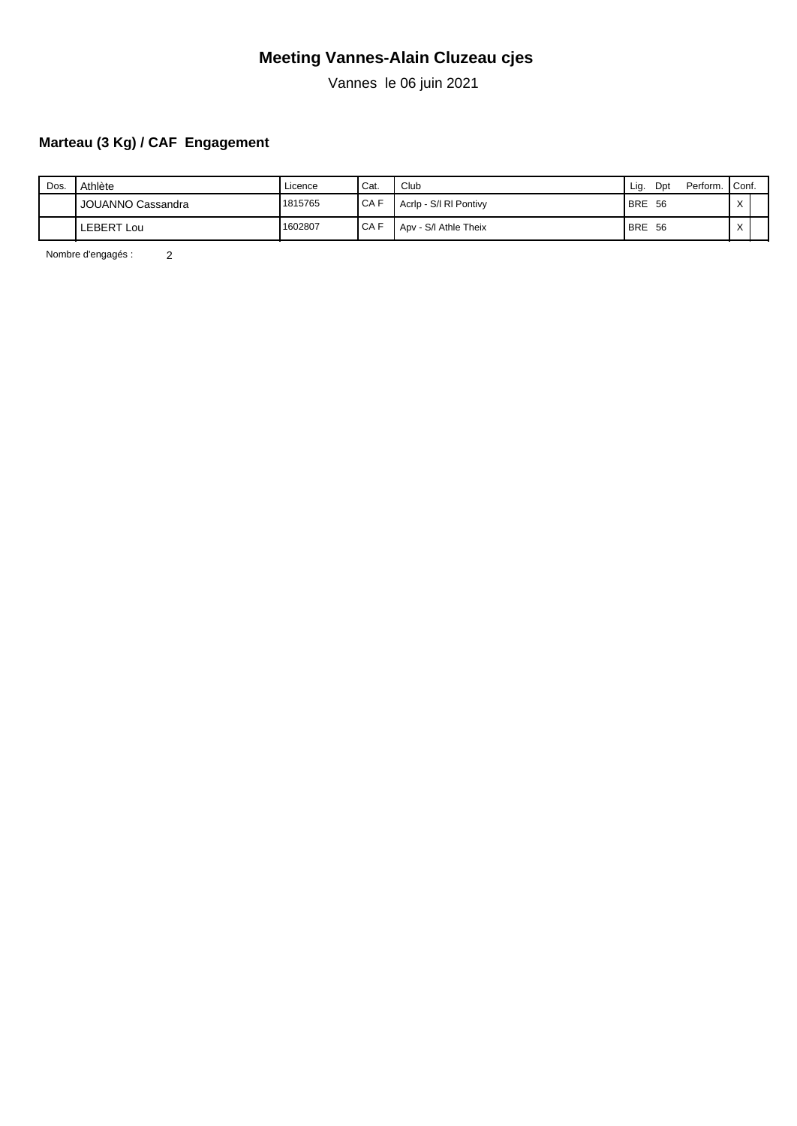Vannes le 06 juin 2021

### **Marteau (3 Kg) / CAF Engagement**

| Dos. | Athlète           | Licence | 'Cat.  | Club                   | Perform.<br>Dpt<br>Lig. | Conf.          |  |
|------|-------------------|---------|--------|------------------------|-------------------------|----------------|--|
|      | JOUANNO Cassandra | 1815765 | I CA F | Acrip - S/I RI Pontivy | <b>BRE</b><br>- 56      | $\sqrt{}$<br>⌒ |  |
|      | <b>LEBERT Lou</b> | 1602807 | I CA F | Apv - S/I Athle Theix  | <b>BRE</b><br>- 56      | $\checkmark$   |  |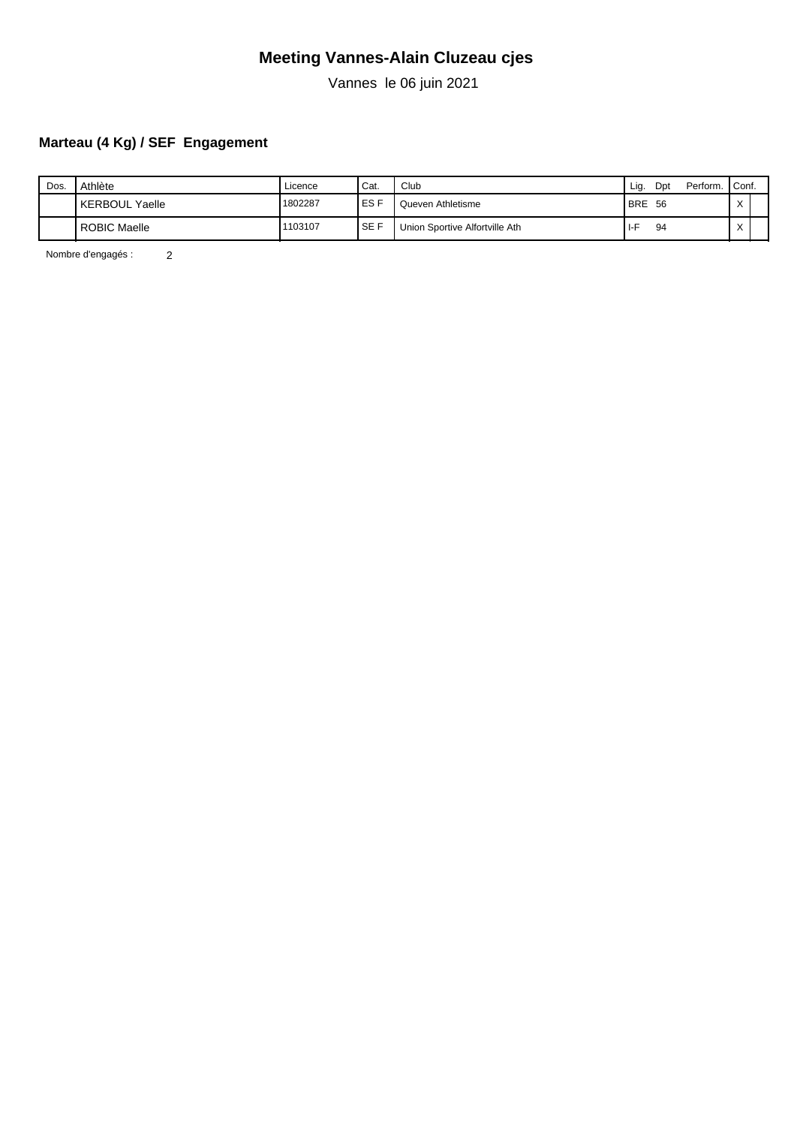Vannes le 06 juin 2021

### **Marteau (4 Kg) / SEF Engagement**

| Dos. | Athlète               | Licence | <sup>I</sup> Cat.   | Club                           | Lig.       | Dpt | Perform. Conf. |              |  |
|------|-----------------------|---------|---------------------|--------------------------------|------------|-----|----------------|--------------|--|
|      | <b>KERBOUL Yaelle</b> | 1802287 | <b>IESF</b>         | Queven Athletisme              | <b>BRE</b> | -56 |                | $\sqrt{}$    |  |
|      | <b>ROBIC Maelle</b>   | 1103107 | $\overline{1}$ SE F | Union Sportive Alfortville Ath | I-F        | 94  |                | $\checkmark$ |  |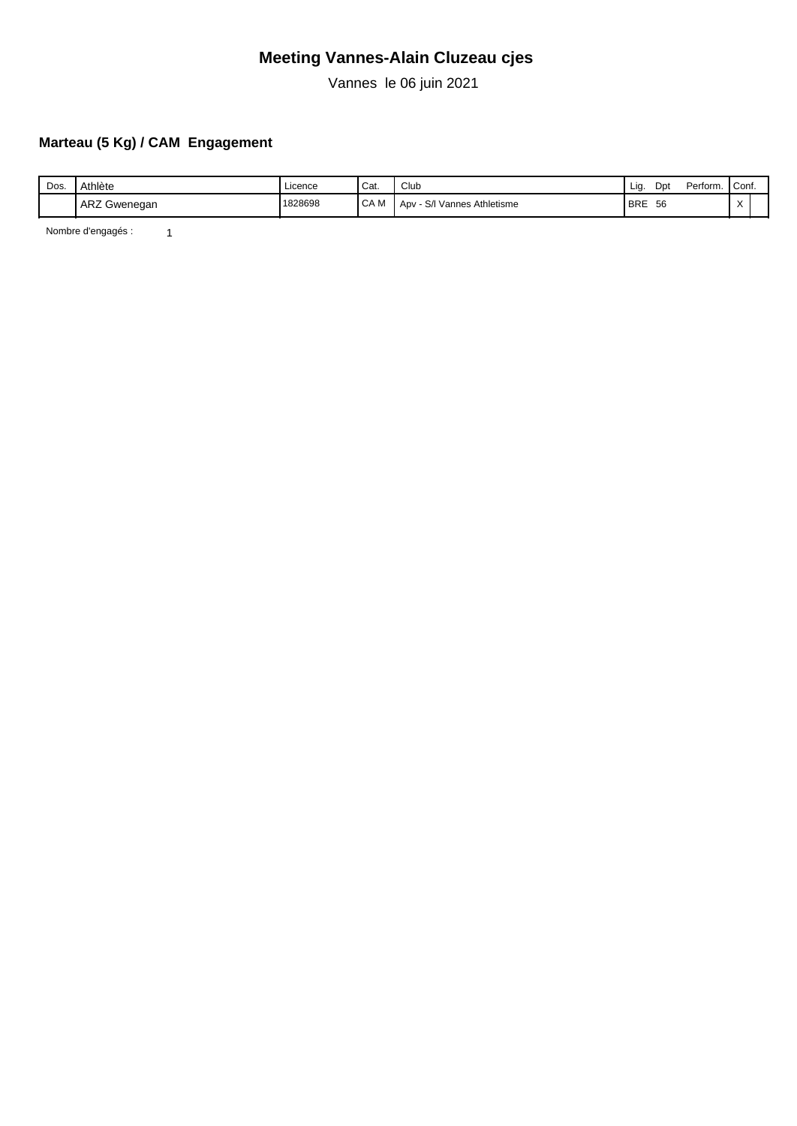Vannes le 06 juin 2021

### **Marteau (5 Kg) / CAM Engagement**

| Dos. | Athlète           | .<br>Licence | Cat.                  | Club                                               | Lia        | Dpt | Perform. | Cont.     |  |
|------|-------------------|--------------|-----------------------|----------------------------------------------------|------------|-----|----------|-----------|--|
|      | ARZ C<br>Gwenegan | 1828698      | $\sim$ $\sim$<br>CA M | $\sim$<br>Athletisme<br>' Vannes Atl<br>Apv<br>5/1 | <b>BRE</b> | 56  |          | $\lambda$ |  |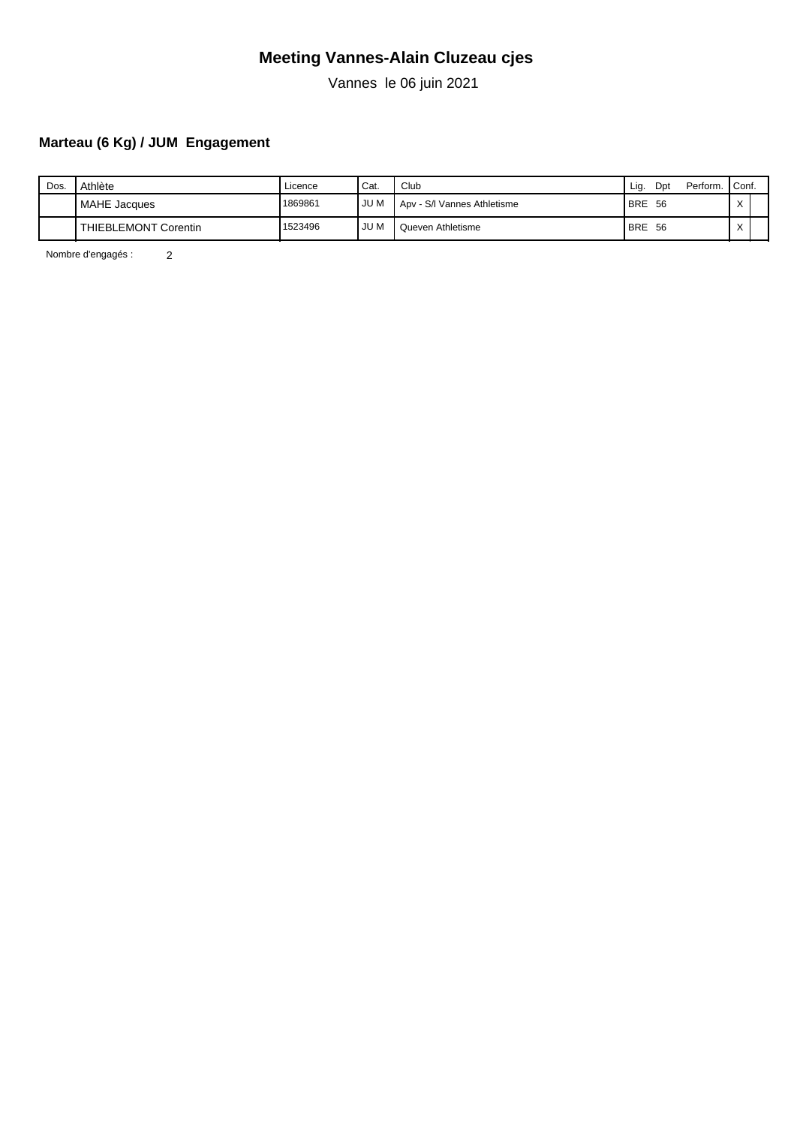Vannes le 06 juin 2021

### **Marteau (6 Kg) / JUM Engagement**

| Dos. | Athlète              | ∟icence | <sup>I</sup> Cat. | Club                        | Perform. Conf.<br>Dpt<br>Lig. |              |
|------|----------------------|---------|-------------------|-----------------------------|-------------------------------|--------------|
|      | <b>MAHE</b> Jacques  | 1869861 | JU M              | Apv - S/I Vannes Athletisme | <b>BRE</b><br>-56             | $\sqrt{}$    |
|      | THIEBLEMONT Corentin | 1523496 | JU M              | Queven Athletisme           | <b>BRE</b><br>-56             | $\checkmark$ |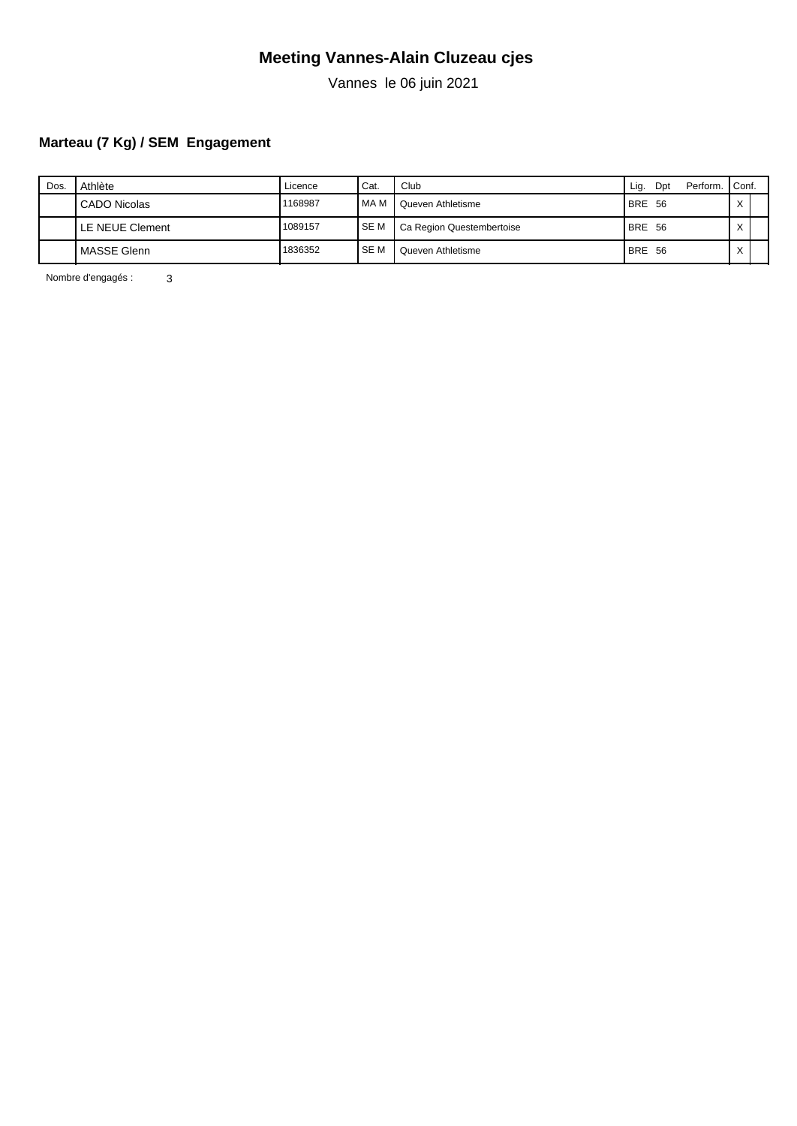Vannes le 06 juin 2021

### **Marteau (7 Kg) / SEM Engagement**

| Dos | Athlète         | Licence | ' Cat.     | Club                      | Lig.<br>Perform.<br>Dpt | Conf.        |  |
|-----|-----------------|---------|------------|---------------------------|-------------------------|--------------|--|
|     | CADO Nicolas    | 1168987 | I MA M     | Queven Athletisme         | BRE 56                  | $\checkmark$ |  |
|     | LE NEUE Clement | 1089157 | <b>SEM</b> | Ca Region Questembertoise | BRE 56                  | $\checkmark$ |  |
|     | MASSE Glenn     | 1836352 | I SE M     | Queven Athletisme         | BRE 56                  | $\checkmark$ |  |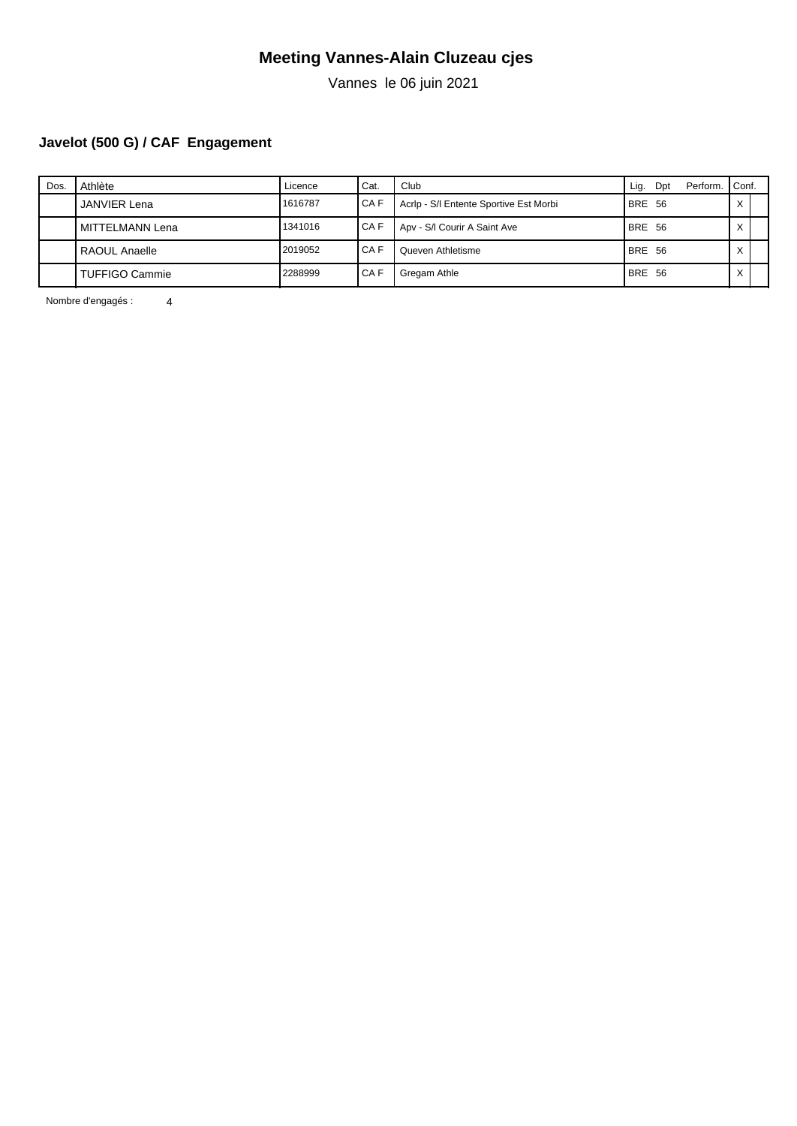Vannes le 06 juin 2021

# **Javelot (500 G) / CAF Engagement**

| Dos. | Athlète             | Licence | Cat.   | Club                                   | Lig.<br>Dpt   | Perform. | Conf.             |  |
|------|---------------------|---------|--------|----------------------------------------|---------------|----------|-------------------|--|
|      | <b>JANVIER Lena</b> | 1616787 | I CA F | Acrip - S/I Entente Sportive Est Morbi | BRE 56        |          | $\checkmark$      |  |
|      | MITTELMANN Lena     | 1341016 | I CA F | Apv - S/I Courir A Saint Ave           | <b>BRE 56</b> |          | $\checkmark$      |  |
|      | RAOUL Anaelle       | 2019052 | I CA F | Queven Athletisme                      | <b>BRE 56</b> |          | $\checkmark$      |  |
|      | TUFFIGO Cammie      | 2288999 | CAF    | Gregam Athle                           | <b>BRE 56</b> |          | $\checkmark$<br>⌒ |  |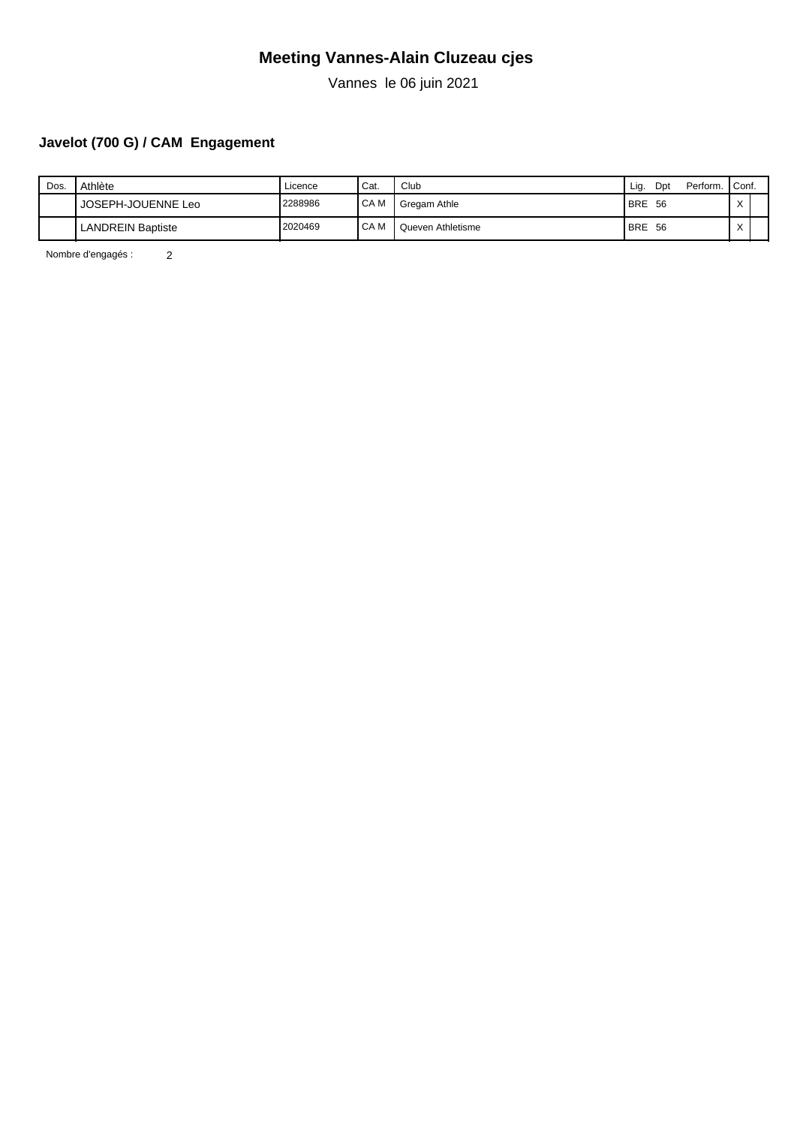Vannes le 06 juin 2021

### **Javelot (700 G) / CAM Engagement**

| Dos. | Athlète                  | Licence | ' Cat.            | Club              | Perform.<br>Dpt<br>Liq. | Conf.        |  |
|------|--------------------------|---------|-------------------|-------------------|-------------------------|--------------|--|
|      | JOSEPH-JOUENNE Leo       | 2288986 | <sup>I</sup> CA M | Gregam Athle      | <b>BRE</b><br>- 56      | $\checkmark$ |  |
|      | <b>LANDREIN Baptiste</b> | 2020469 | <b>CAM</b>        | Queven Athletisme | <b>BRE</b><br>- 56      | $\lambda$    |  |